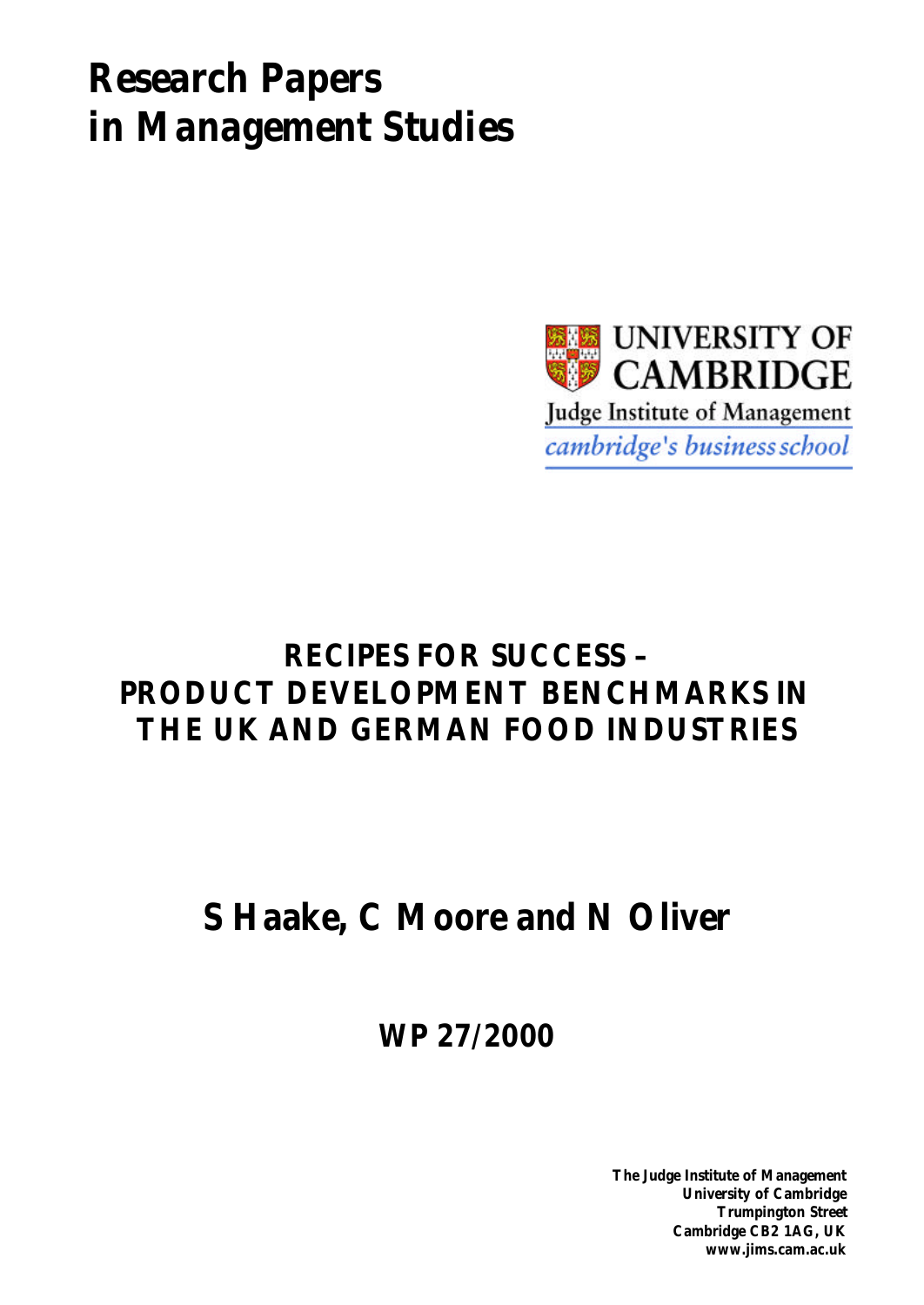# *Research Papers in Management Studies*



# **RECIPES FOR SUCCESS – PRODUCT DEVELOPMENT BENCHMARKS IN THE UK AND GERMAN FOOD INDUSTRIES**

# **S Haake, C Moore and N Oliver**

**WP 27/2000**

**The Judge Institute of Management University of Cambridge Trumpington Street Cambridge CB2 1AG, UK www.jims.cam.ac.uk**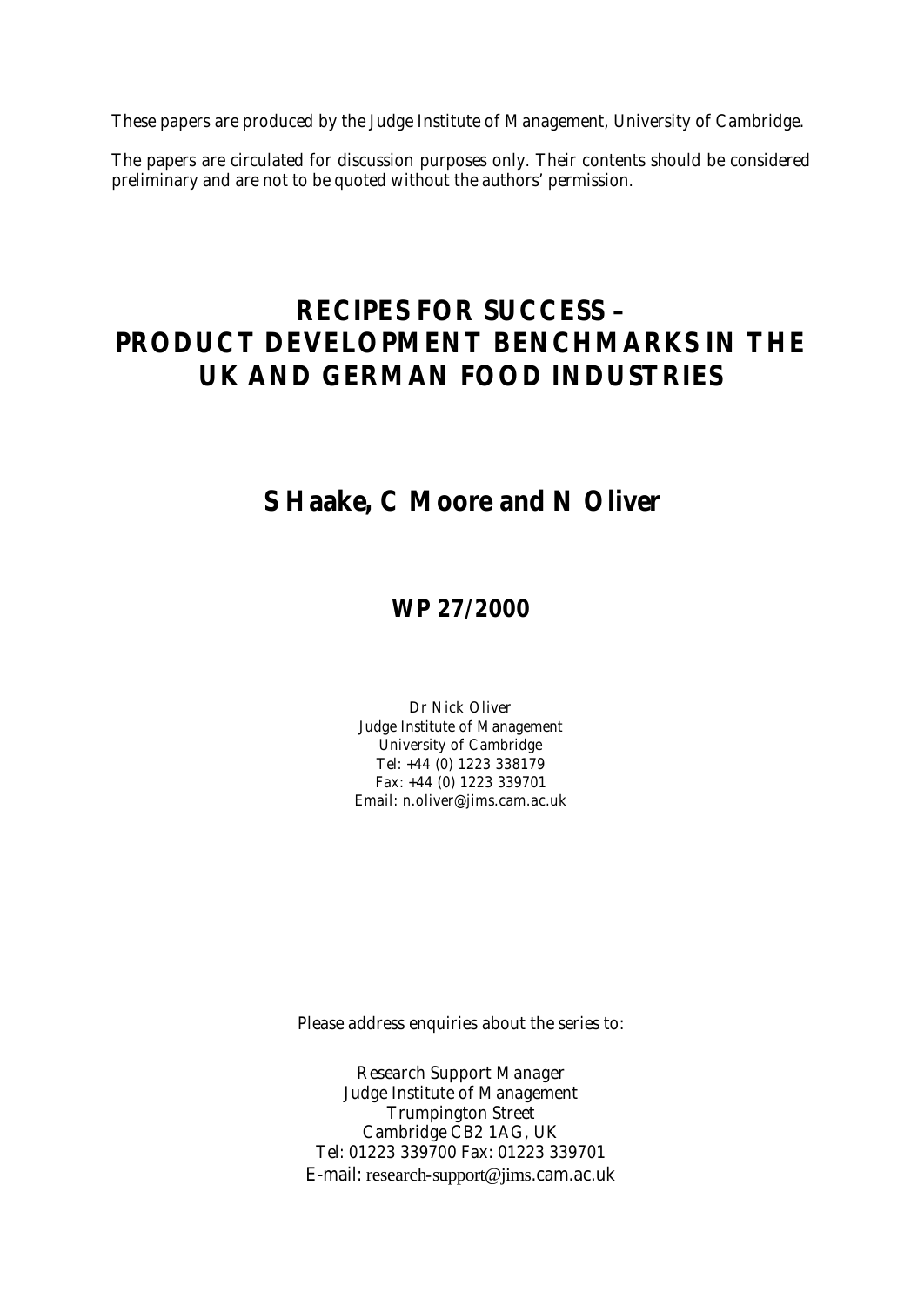These papers are produced by the Judge Institute of Management, University of Cambridge.

The papers are circulated for discussion purposes only. Their contents should be considered preliminary and are not to be quoted without the authors' permission.

## **RECIPES FOR SUCCESS – PRODUCT DEVELOPMENT BENCHMARKS IN THE UK AND GERMAN FOOD INDUSTRIES**

## **S Haake, C Moore and N Oliver**

## **WP 27/2000**

Dr Nick Oliver Judge Institute of Management University of Cambridge Tel: +44 (0) 1223 338179 Fax: +44 (0) 1223 339701 Email: n.oliver@jims.cam.ac.uk

Please address enquiries about the series to:

Research Support Manager Judge Institute of Management Trumpington Street Cambridge CB2 1AG, UK Tel: 01223 339700 Fax: 01223 339701 E-mail: research-support@jims.cam.ac.uk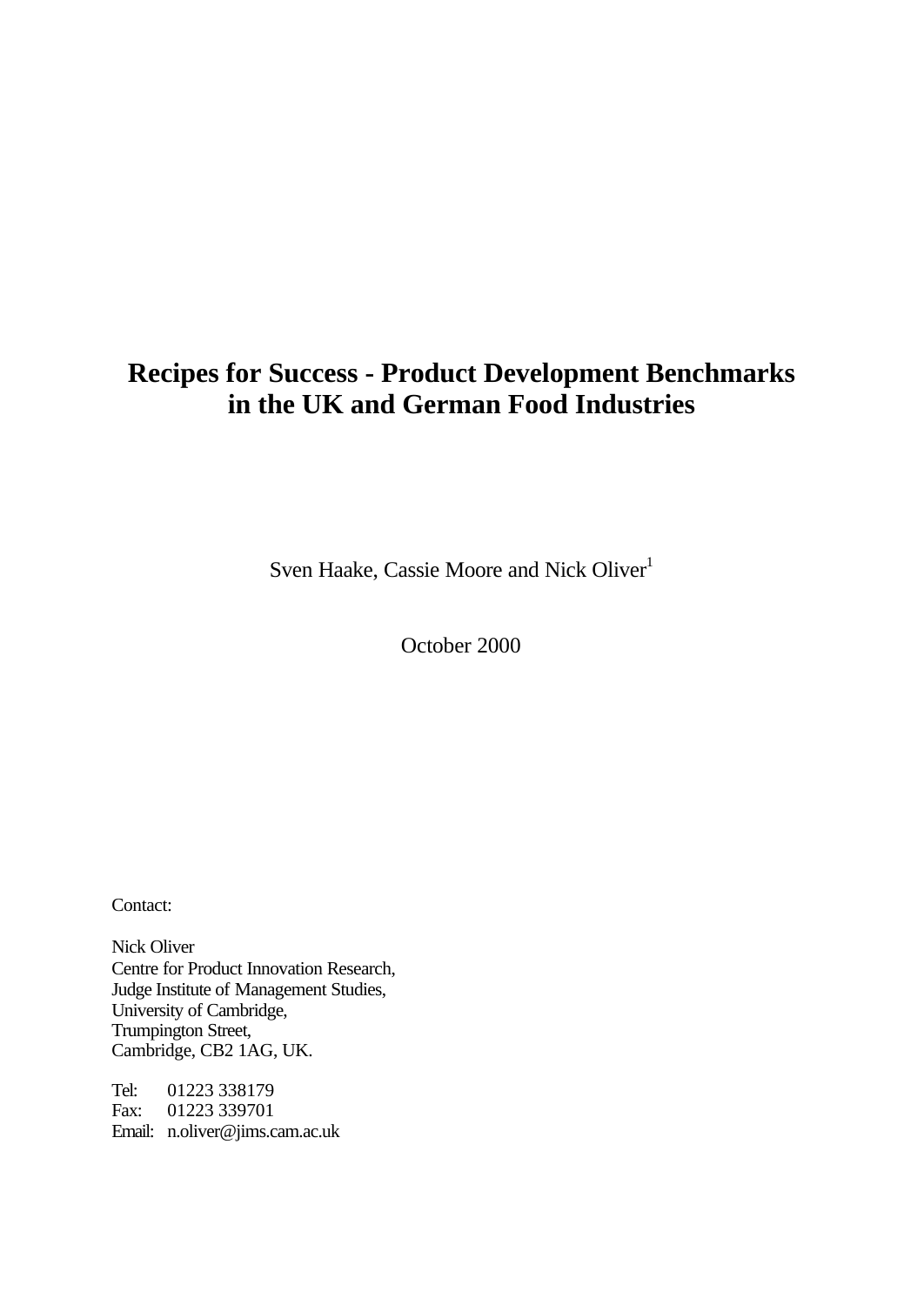## **Recipes for Success - Product Development Benchmarks in the UK and German Food Industries**

Sven Haake, Cassie Moore and Nick Oliver<sup>1</sup>

October 2000

Contact:

Nick Oliver Centre for Product Innovation Research, Judge Institute of Management Studies, University of Cambridge, Trumpington Street, Cambridge, CB2 1AG, UK.

Tel: 01223 338179 Fax: 01223 339701 Email: n.oliver@jims.cam.ac.uk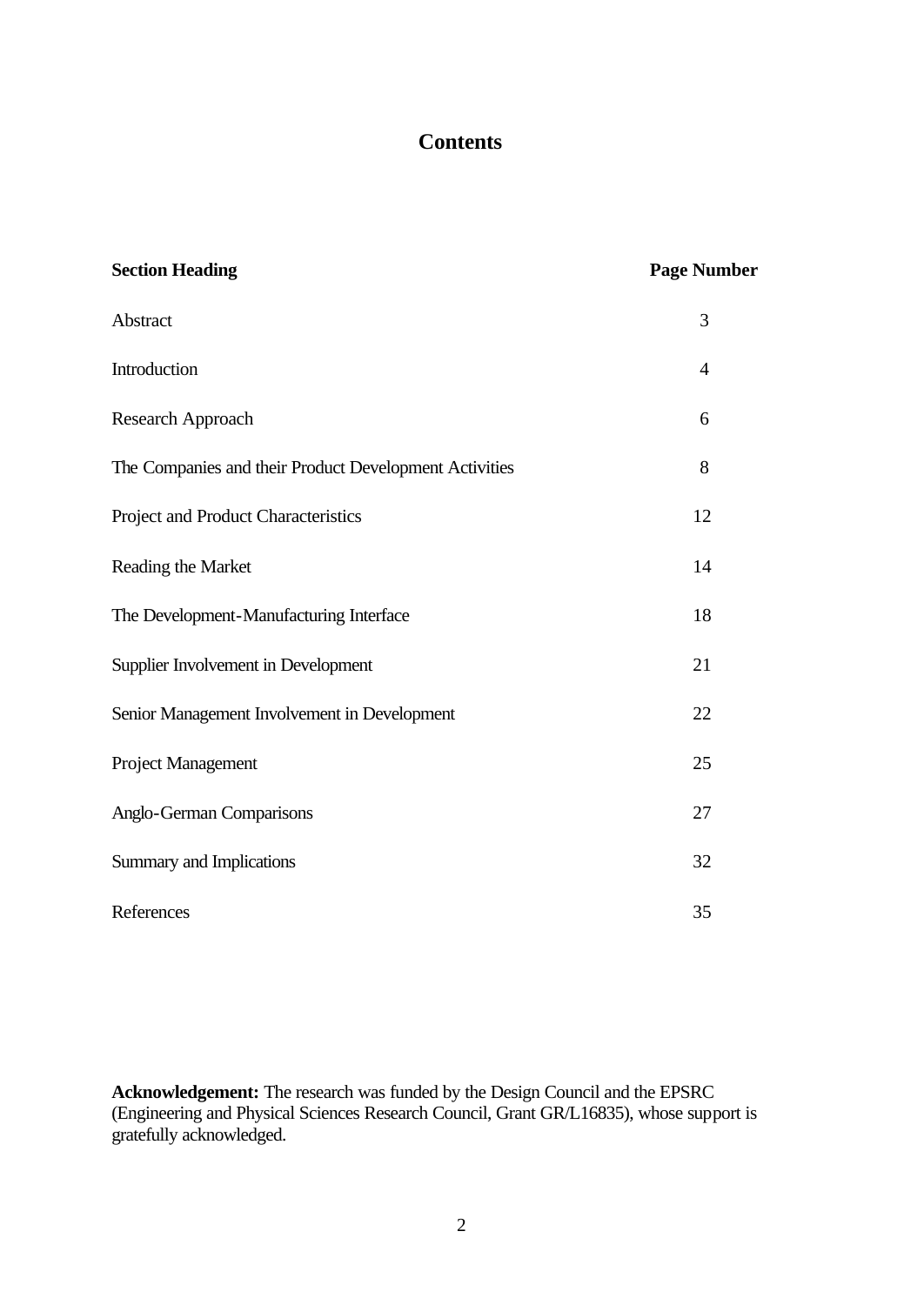## **Contents**

| <b>Section Heading</b>                                 | <b>Page Number</b> |
|--------------------------------------------------------|--------------------|
| Abstract                                               | 3                  |
| Introduction                                           | $\overline{4}$     |
| Research Approach                                      | 6                  |
| The Companies and their Product Development Activities | 8                  |
| Project and Product Characteristics                    | 12                 |
| Reading the Market                                     | 14                 |
| The Development-Manufacturing Interface                | 18                 |
| Supplier Involvement in Development                    | 21                 |
| Senior Management Involvement in Development           | 22                 |
| Project Management                                     | 25                 |
| Anglo-German Comparisons                               | 27                 |
| Summary and Implications                               | 32                 |
| References                                             | 35                 |

**Acknowledgement:** The research was funded by the Design Council and the EPSRC (Engineering and Physical Sciences Research Council, Grant GR/L16835), whose support is gratefully acknowledged.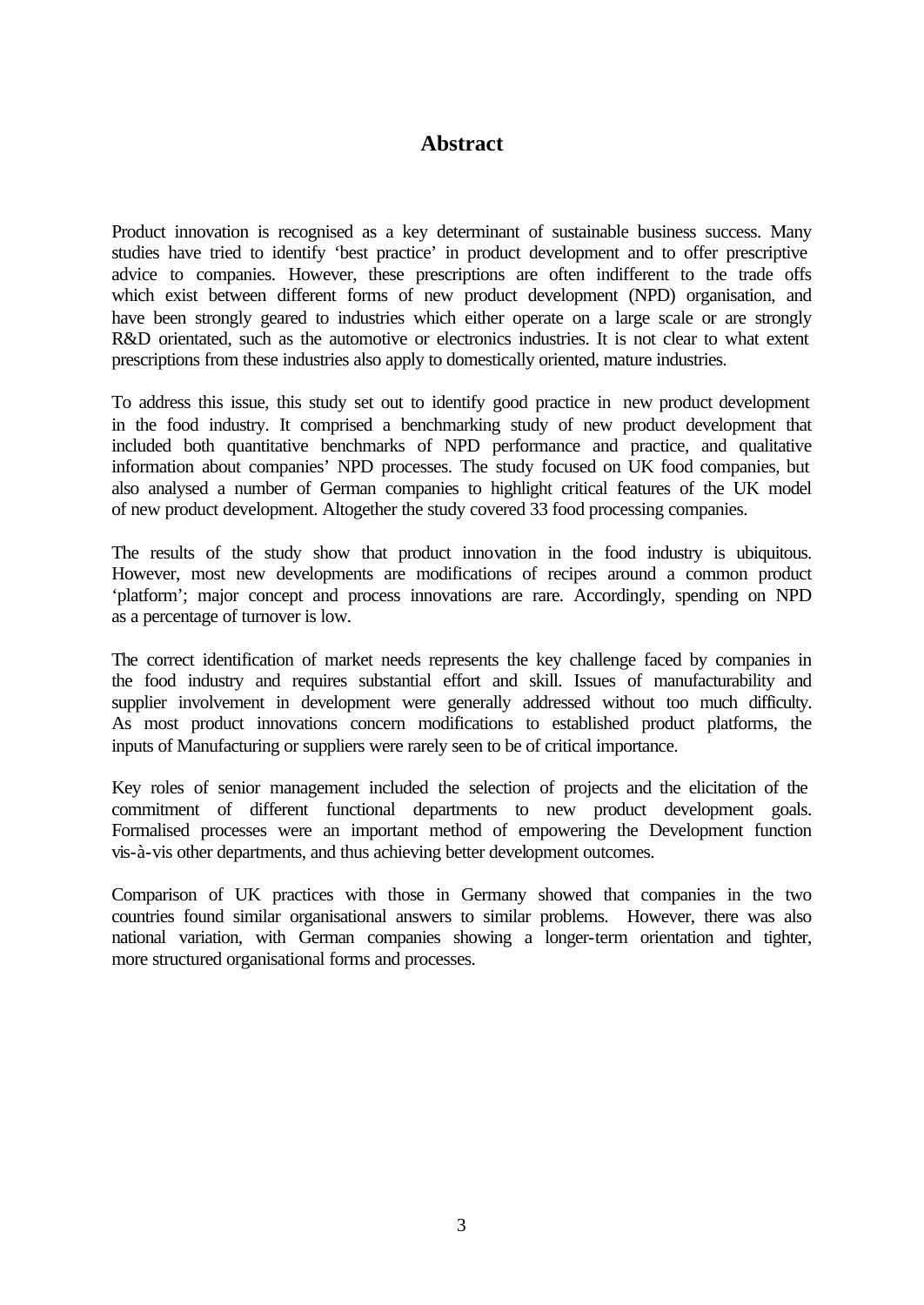## **Abstract**

Product innovation is recognised as a key determinant of sustainable business success. Many studies have tried to identify 'best practice' in product development and to offer prescriptive advice to companies. However, these prescriptions are often indifferent to the trade offs which exist between different forms of new product development (NPD) organisation, and have been strongly geared to industries which either operate on a large scale or are strongly R&D orientated, such as the automotive or electronics industries. It is not clear to what extent prescriptions from these industries also apply to domestically oriented, mature industries.

To address this issue, this study set out to identify good practice in new product development in the food industry. It comprised a benchmarking study of new product development that included both quantitative benchmarks of NPD performance and practice, and qualitative information about companies' NPD processes. The study focused on UK food companies, but also analysed a number of German companies to highlight critical features of the UK model of new product development. Altogether the study covered 33 food processing companies.

The results of the study show that product innovation in the food industry is ubiquitous. However, most new developments are modifications of recipes around a common product 'platform'; major concept and process innovations are rare. Accordingly, spending on NPD as a percentage of turnover is low.

The correct identification of market needs represents the key challenge faced by companies in the food industry and requires substantial effort and skill. Issues of manufacturability and supplier involvement in development were generally addressed without too much difficulty. As most product innovations concern modifications to established product platforms, the inputs of Manufacturing or suppliers were rarely seen to be of critical importance.

Key roles of senior management included the selection of projects and the elicitation of the commitment of different functional departments to new product development goals. Formalised processes were an important method of empowering the Development function vis-à-vis other departments, and thus achieving better development outcomes.

Comparison of UK practices with those in Germany showed that companies in the two countries found similar organisational answers to similar problems. However, there was also national variation, with German companies showing a longer-term orientation and tighter, more structured organisational forms and processes.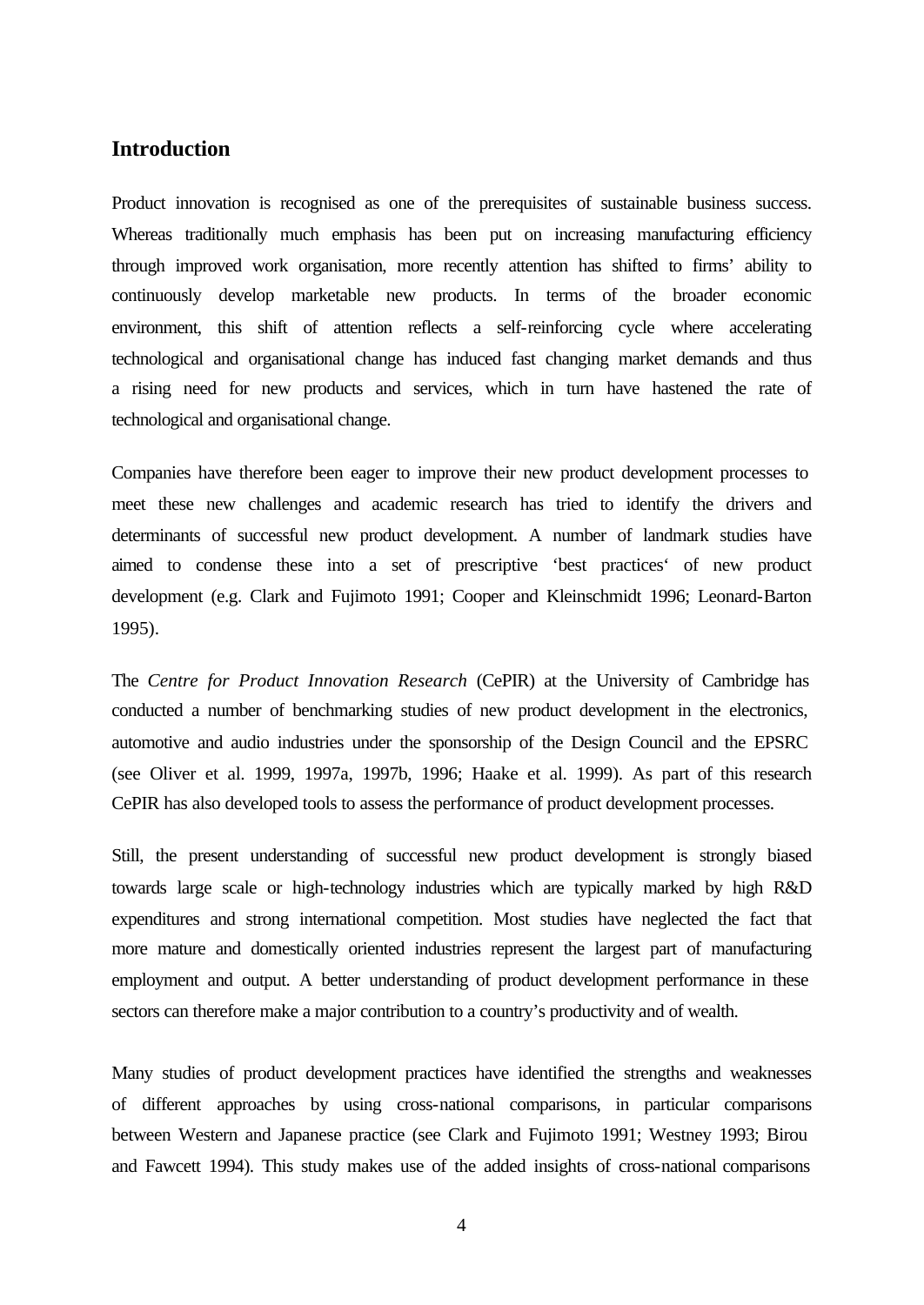## **Introduction**

Product innovation is recognised as one of the prerequisites of sustainable business success. Whereas traditionally much emphasis has been put on increasing manufacturing efficiency through improved work organisation, more recently attention has shifted to firms' ability to continuously develop marketable new products. In terms of the broader economic environment, this shift of attention reflects a self-reinforcing cycle where accelerating technological and organisational change has induced fast changing market demands and thus a rising need for new products and services, which in turn have hastened the rate of technological and organisational change.

Companies have therefore been eager to improve their new product development processes to meet these new challenges and academic research has tried to identify the drivers and determinants of successful new product development. A number of landmark studies have aimed to condense these into a set of prescriptive 'best practices' of new product development (e.g. Clark and Fujimoto 1991; Cooper and Kleinschmidt 1996; Leonard-Barton 1995).

The *Centre for Product Innovation Research* (CePIR) at the University of Cambridge has conducted a number of benchmarking studies of new product development in the electronics, automotive and audio industries under the sponsorship of the Design Council and the EPSRC (see Oliver et al. 1999, 1997a, 1997b, 1996; Haake et al. 1999). As part of this research CePIR has also developed tools to assess the performance of product development processes.

Still, the present understanding of successful new product development is strongly biased towards large scale or high-technology industries which are typically marked by high R&D expenditures and strong international competition. Most studies have neglected the fact that more mature and domestically oriented industries represent the largest part of manufacturing employment and output. A better understanding of product development performance in these sectors can therefore make a major contribution to a country's productivity and of wealth.

Many studies of product development practices have identified the strengths and weaknesses of different approaches by using cross-national comparisons, in particular comparisons between Western and Japanese practice (see Clark and Fujimoto 1991; Westney 1993; Birou and Fawcett 1994). This study makes use of the added insights of cross-national comparisons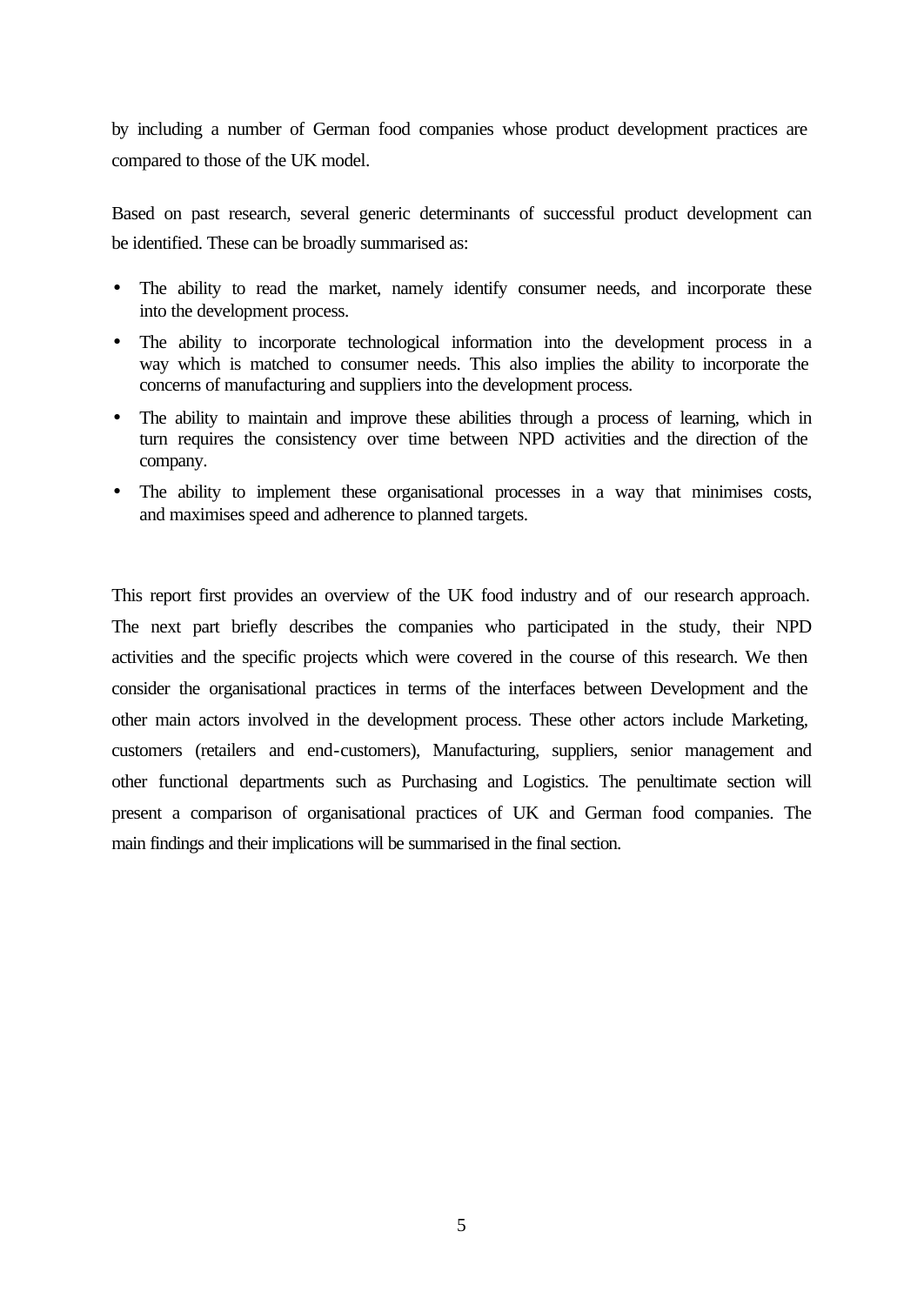by including a number of German food companies whose product development practices are compared to those of the UK model.

Based on past research, several generic determinants of successful product development can be identified. These can be broadly summarised as:

- The ability to read the market, namely identify consumer needs, and incorporate these into the development process.
- The ability to incorporate technological information into the development process in a way which is matched to consumer needs. This also implies the ability to incorporate the concerns of manufacturing and suppliers into the development process.
- The ability to maintain and improve these abilities through a process of learning, which in turn requires the consistency over time between NPD activities and the direction of the company.
- The ability to implement these organisational processes in a way that minimises costs, and maximises speed and adherence to planned targets.

This report first provides an overview of the UK food industry and of our research approach. The next part briefly describes the companies who participated in the study, their NPD activities and the specific projects which were covered in the course of this research. We then consider the organisational practices in terms of the interfaces between Development and the other main actors involved in the development process. These other actors include Marketing, customers (retailers and end-customers), Manufacturing, suppliers, senior management and other functional departments such as Purchasing and Logistics. The penultimate section will present a comparison of organisational practices of UK and German food companies. The main findings and their implications will be summarised in the final section.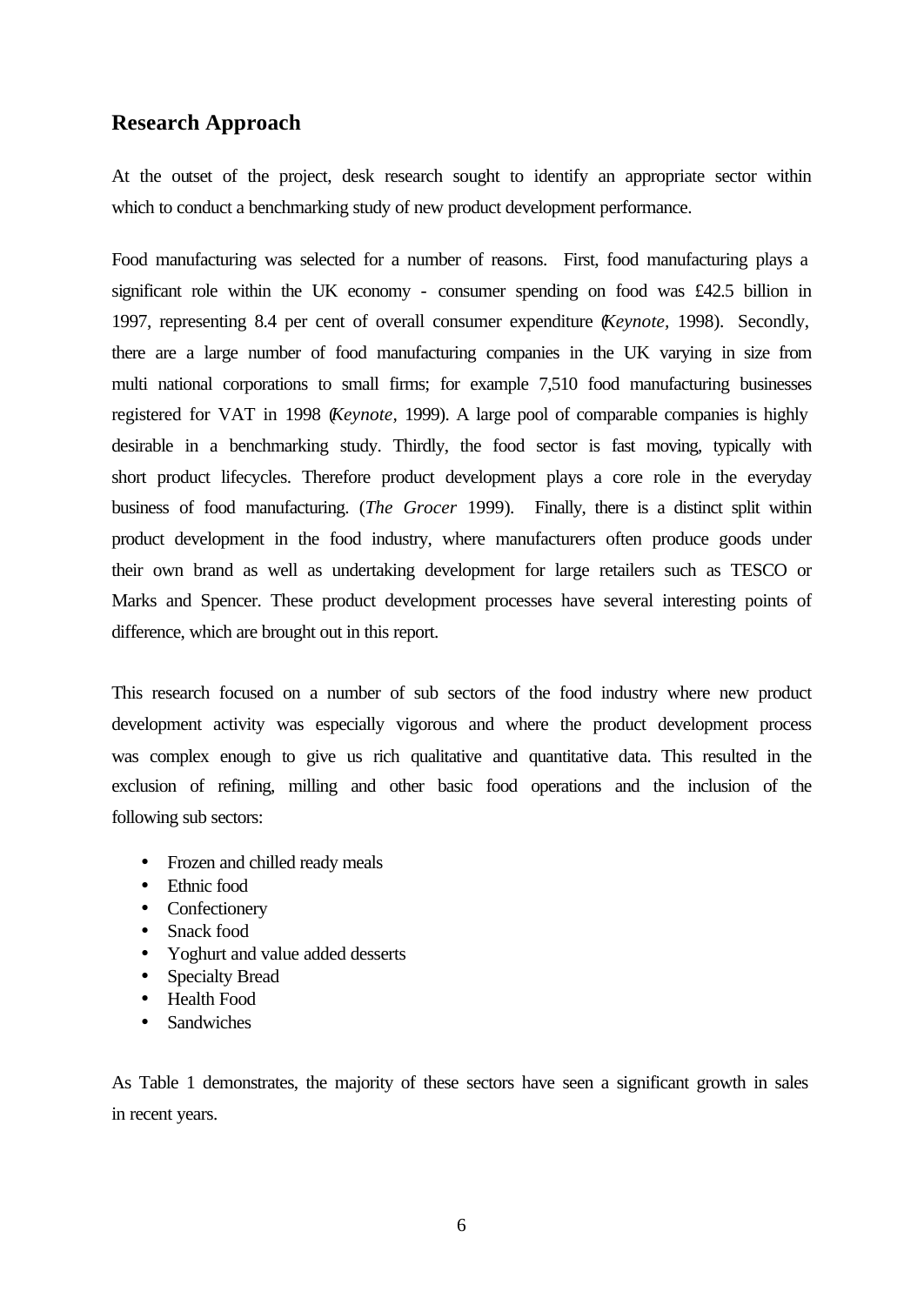## **Research Approach**

At the outset of the project, desk research sought to identify an appropriate sector within which to conduct a benchmarking study of new product development performance.

Food manufacturing was selected for a number of reasons. First, food manufacturing plays a significant role within the UK economy - consumer spending on food was £42.5 billion in 1997, representing 8.4 per cent of overall consumer expenditure (*Keynote,* 1998). Secondly, there are a large number of food manufacturing companies in the UK varying in size from multi national corporations to small firms; for example 7,510 food manufacturing businesses registered for VAT in 1998 (*Keynote,* 1999). A large pool of comparable companies is highly desirable in a benchmarking study. Thirdly, the food sector is fast moving, typically with short product lifecycles. Therefore product development plays a core role in the everyday business of food manufacturing. (*The Grocer* 1999)*.* Finally, there is a distinct split within product development in the food industry, where manufacturers often produce goods under their own brand as well as undertaking development for large retailers such as TESCO or Marks and Spencer. These product development processes have several interesting points of difference, which are brought out in this report.

This research focused on a number of sub sectors of the food industry where new product development activity was especially vigorous and where the product development process was complex enough to give us rich qualitative and quantitative data. This resulted in the exclusion of refining, milling and other basic food operations and the inclusion of the following sub sectors:

- Frozen and chilled ready meals
- Ethnic food
- Confectionery
- Snack food
- Yoghurt and value added desserts
- Specialty Bread
- Health Food
- **Sandwiches**

As Table 1 demonstrates, the majority of these sectors have seen a significant growth in sales in recent years.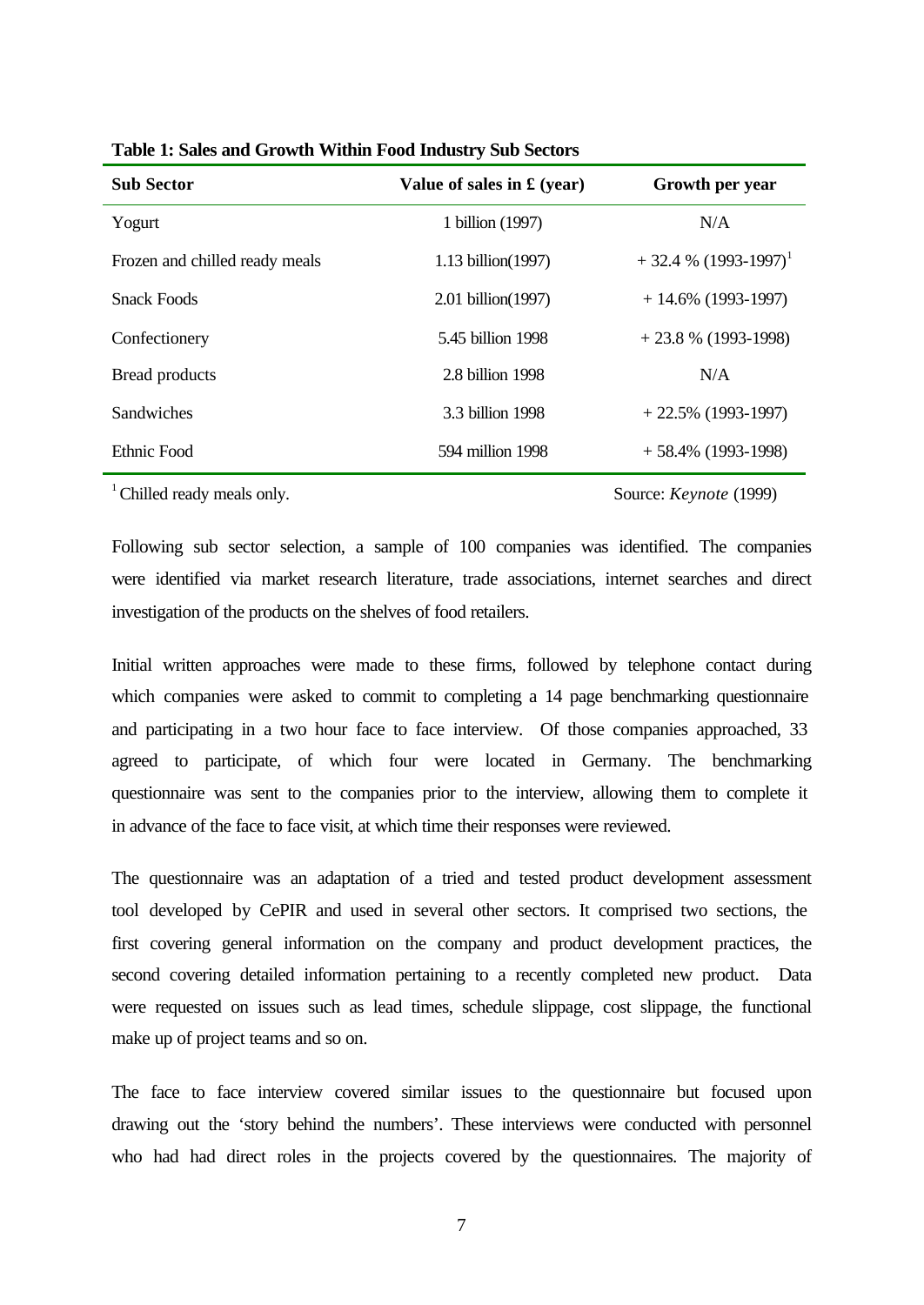| <b>Sub Sector</b>              | Value of sales in $f(xear)$ | Growth per year                    |
|--------------------------------|-----------------------------|------------------------------------|
| Yogurt                         | 1 billion (1997)            | N/A                                |
| Frozen and chilled ready meals | 1.13 billion(1997)          | $+32.4\%$ (1993-1997) <sup>1</sup> |
| <b>Snack Foods</b>             | 2.01 billion(1997)          | $+ 14.6\%$ (1993-1997)             |
| Confectionery                  | 5.45 billion 1998           | $+23.8\%$ (1993-1998)              |
| <b>Bread products</b>          | 2.8 billion 1998            | N/A                                |
| Sandwiches                     | 3.3 billion 1998            | $+22.5\%$ (1993-1997)              |
| Ethnic Food                    | 594 million 1998            | $+58.4\%$ (1993-1998)              |

<sup>1</sup> Chilled ready meals only. Source: *Keynote* (1999)

Following sub sector selection, a sample of 100 companies was identified. The companies were identified via market research literature, trade associations, internet searches and direct investigation of the products on the shelves of food retailers.

Initial written approaches were made to these firms, followed by telephone contact during which companies were asked to commit to completing a 14 page benchmarking questionnaire and participating in a two hour face to face interview. Of those companies approached, 33 agreed to participate, of which four were located in Germany. The benchmarking questionnaire was sent to the companies prior to the interview, allowing them to complete it in advance of the face to face visit, at which time their responses were reviewed.

The questionnaire was an adaptation of a tried and tested product development assessment tool developed by CePIR and used in several other sectors. It comprised two sections, the first covering general information on the company and product development practices, the second covering detailed information pertaining to a recently completed new product. Data were requested on issues such as lead times, schedule slippage, cost slippage, the functional make up of project teams and so on.

The face to face interview covered similar issues to the questionnaire but focused upon drawing out the 'story behind the numbers'. These interviews were conducted with personnel who had had direct roles in the projects covered by the questionnaires. The majority of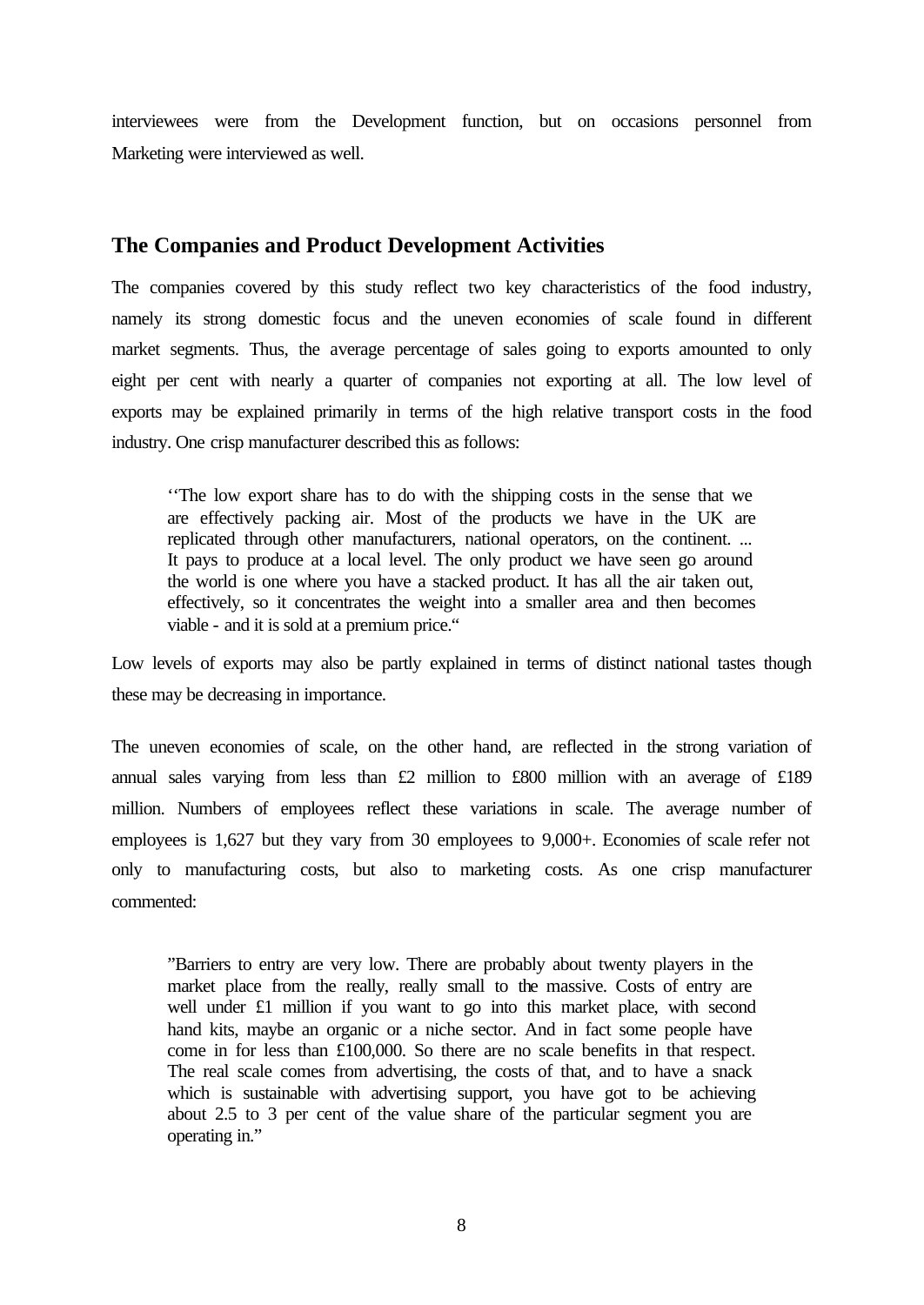interviewees were from the Development function, but on occasions personnel from Marketing were interviewed as well.

## **The Companies and Product Development Activities**

The companies covered by this study reflect two key characteristics of the food industry, namely its strong domestic focus and the uneven economies of scale found in different market segments. Thus, the average percentage of sales going to exports amounted to only eight per cent with nearly a quarter of companies not exporting at all. The low level of exports may be explained primarily in terms of the high relative transport costs in the food industry. One crisp manufacturer described this as follows:

''The low export share has to do with the shipping costs in the sense that we are effectively packing air. Most of the products we have in the UK are replicated through other manufacturers, national operators, on the continent. ... It pays to produce at a local level. The only product we have seen go around the world is one where you have a stacked product. It has all the air taken out, effectively, so it concentrates the weight into a smaller area and then becomes viable - and it is sold at a premium price."

Low levels of exports may also be partly explained in terms of distinct national tastes though these may be decreasing in importance.

The uneven economies of scale, on the other hand, are reflected in the strong variation of annual sales varying from less than £2 million to £800 million with an average of £189 million. Numbers of employees reflect these variations in scale. The average number of employees is 1,627 but they vary from 30 employees to 9,000+. Economies of scale refer not only to manufacturing costs, but also to marketing costs. As one crisp manufacturer commented:

"Barriers to entry are very low. There are probably about twenty players in the market place from the really, really small to the massive. Costs of entry are well under £1 million if you want to go into this market place, with second hand kits, maybe an organic or a niche sector. And in fact some people have come in for less than £100,000. So there are no scale benefits in that respect. The real scale comes from advertising, the costs of that, and to have a snack which is sustainable with advertising support, you have got to be achieving about 2.5 to 3 per cent of the value share of the particular segment you are operating in."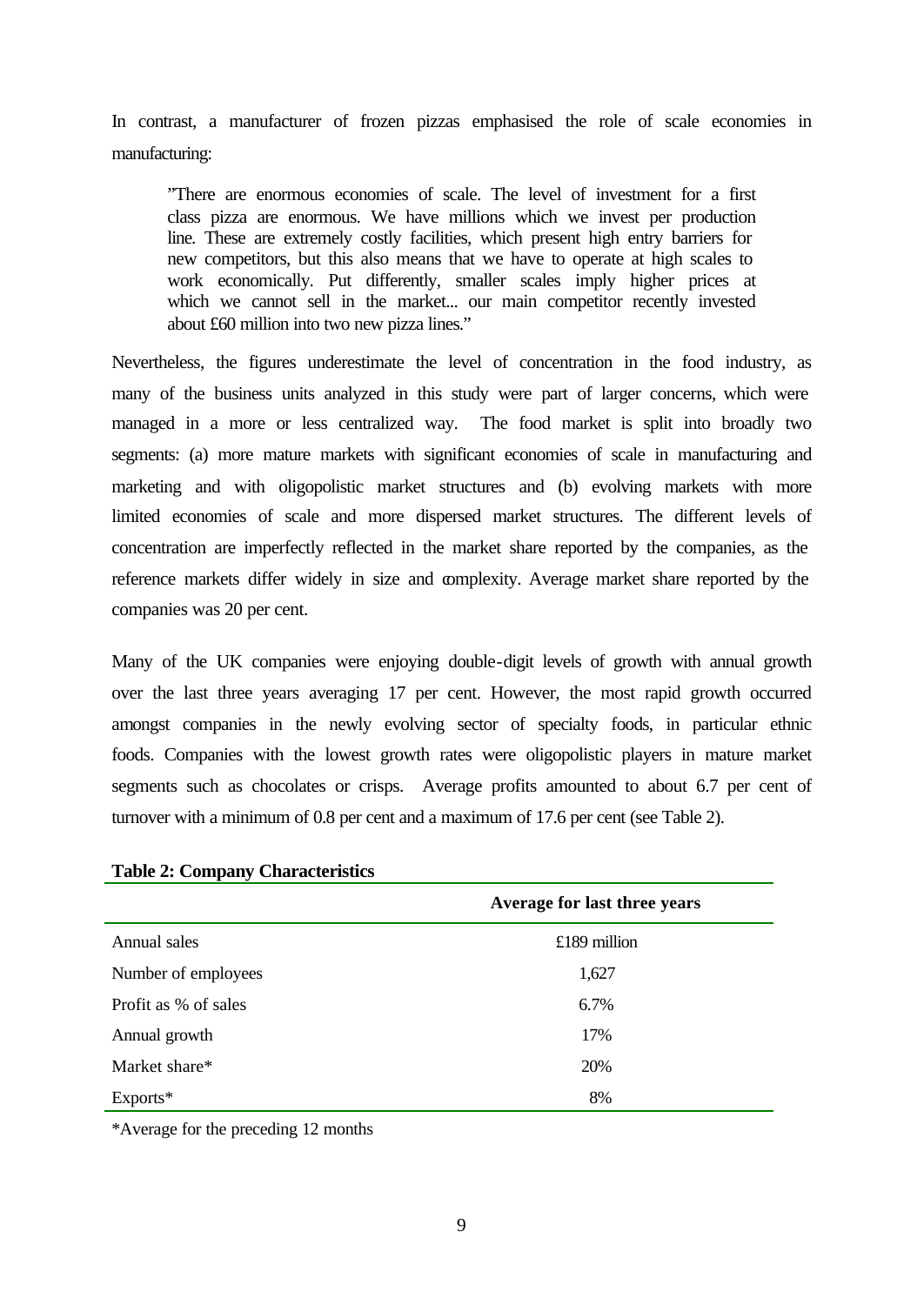In contrast, a manufacturer of frozen pizzas emphasised the role of scale economies in manufacturing:

"There are enormous economies of scale. The level of investment for a first class pizza are enormous. We have millions which we invest per production line. These are extremely costly facilities, which present high entry barriers for new competitors, but this also means that we have to operate at high scales to work economically. Put differently, smaller scales imply higher prices at which we cannot sell in the market... our main competitor recently invested about £60 million into two new pizza lines."

Nevertheless, the figures underestimate the level of concentration in the food industry, as many of the business units analyzed in this study were part of larger concerns, which were managed in a more or less centralized way. The food market is split into broadly two segments: (a) more mature markets with significant economies of scale in manufacturing and marketing and with oligopolistic market structures and (b) evolving markets with more limited economies of scale and more dispersed market structures. The different levels of concentration are imperfectly reflected in the market share reported by the companies, as the reference markets differ widely in size and complexity. Average market share reported by the companies was 20 per cent.

Many of the UK companies were enjoying double-digit levels of growth with annual growth over the last three years averaging 17 per cent. However, the most rapid growth occurred amongst companies in the newly evolving sector of specialty foods, in particular ethnic foods. Companies with the lowest growth rates were oligopolistic players in mature market segments such as chocolates or crisps. Average profits amounted to about 6.7 per cent of turnover with a minimum of 0.8 per cent and a maximum of 17.6 per cent (see Table 2).

|                      | Average for last three years |
|----------------------|------------------------------|
| Annual sales         | $£189$ million               |
| Number of employees  | 1,627                        |
| Profit as % of sales | 6.7%                         |
| Annual growth        | 17%                          |
| Market share*        | 20%                          |
| $Exports*$           | 8%                           |

## **Table 2: Company Characteristics**

\*Average for the preceding 12 months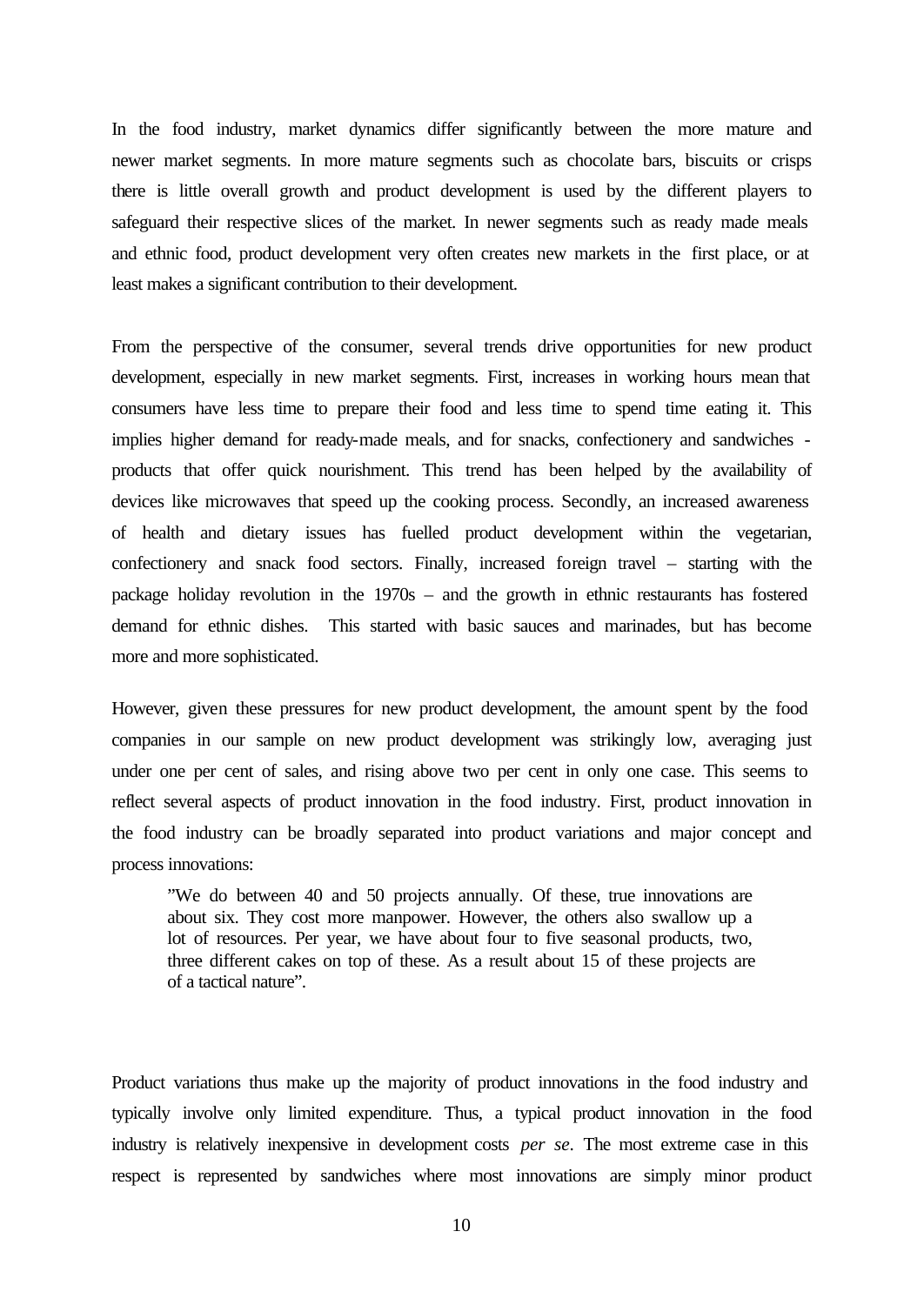In the food industry, market dynamics differ significantly between the more mature and newer market segments. In more mature segments such as chocolate bars, biscuits or crisps there is little overall growth and product development is used by the different players to safeguard their respective slices of the market. In newer segments such as ready made meals and ethnic food, product development very often creates new markets in the first place, or at least makes a significant contribution to their development.

From the perspective of the consumer, several trends drive opportunities for new product development, especially in new market segments. First, increases in working hours mean that consumers have less time to prepare their food and less time to spend time eating it. This implies higher demand for ready-made meals, and for snacks, confectionery and sandwiches products that offer quick nourishment. This trend has been helped by the availability of devices like microwaves that speed up the cooking process. Secondly, an increased awareness of health and dietary issues has fuelled product development within the vegetarian, confectionery and snack food sectors. Finally, increased foreign travel – starting with the package holiday revolution in the 1970s – and the growth in ethnic restaurants has fostered demand for ethnic dishes. This started with basic sauces and marinades, but has become more and more sophisticated.

However, given these pressures for new product development, the amount spent by the food companies in our sample on new product development was strikingly low, averaging just under one per cent of sales, and rising above two per cent in only one case. This seems to reflect several aspects of product innovation in the food industry. First, product innovation in the food industry can be broadly separated into product variations and major concept and process innovations:

"We do between 40 and 50 projects annually. Of these, true innovations are about six. They cost more manpower. However, the others also swallow up a lot of resources. Per year, we have about four to five seasonal products, two, three different cakes on top of these. As a result about 15 of these projects are of a tactical nature".

Product variations thus make up the majority of product innovations in the food industry and typically involve only limited expenditure. Thus, a typical product innovation in the food industry is relatively inexpensive in development costs *per se*. The most extreme case in this respect is represented by sandwiches where most innovations are simply minor product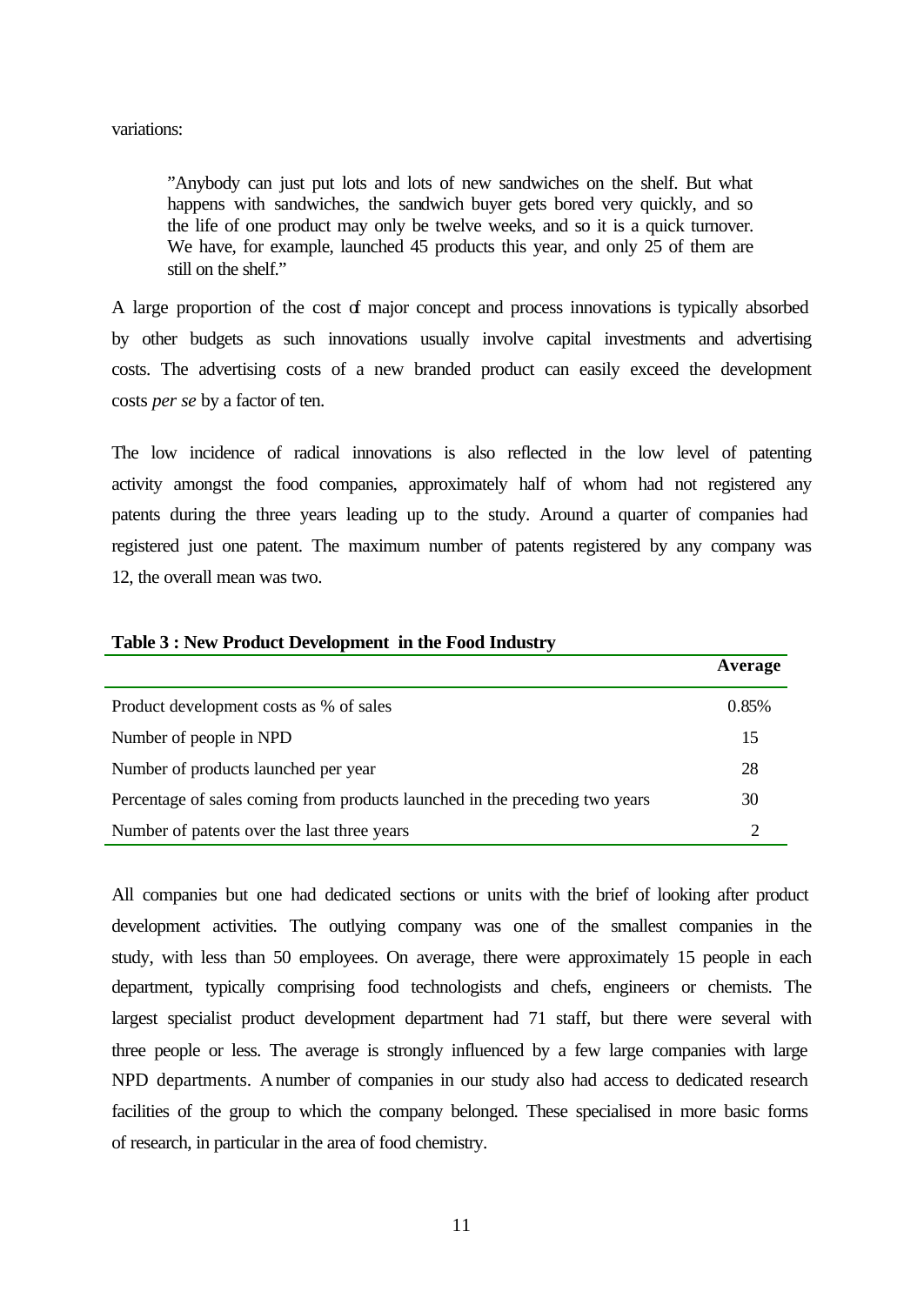variations:

"Anybody can just put lots and lots of new sandwiches on the shelf. But what happens with sandwiches, the sandwich buyer gets bored very quickly, and so the life of one product may only be twelve weeks, and so it is a quick turnover. We have, for example, launched 45 products this year, and only 25 of them are still on the shelf."

A large proportion of the cost of major concept and process innovations is typically absorbed by other budgets as such innovations usually involve capital investments and advertising costs. The advertising costs of a new branded product can easily exceed the development costs *per se* by a factor of ten.

The low incidence of radical innovations is also reflected in the low level of patenting activity amongst the food companies, approximately half of whom had not registered any patents during the three years leading up to the study. Around a quarter of companies had registered just one patent. The maximum number of patents registered by any company was 12, the overall mean was two.

|                                                                              | Average |
|------------------------------------------------------------------------------|---------|
| Product development costs as % of sales                                      | 0.85%   |
| Number of people in NPD                                                      | 15      |
| Number of products launched per year                                         | 28      |
| Percentage of sales coming from products launched in the preceding two years | 30      |
| Number of patents over the last three years                                  |         |

#### **Table 3 : New Product Development in the Food Industry**

All companies but one had dedicated sections or units with the brief of looking after product development activities. The outlying company was one of the smallest companies in the study, with less than 50 employees. On average, there were approximately 15 people in each department, typically comprising food technologists and chefs, engineers or chemists. The largest specialist product development department had 71 staff, but there were several with three people or less. The average is strongly influenced by a few large companies with large NPD departments. A number of companies in our study also had access to dedicated research facilities of the group to which the company belonged. These specialised in more basic forms of research, in particular in the area of food chemistry.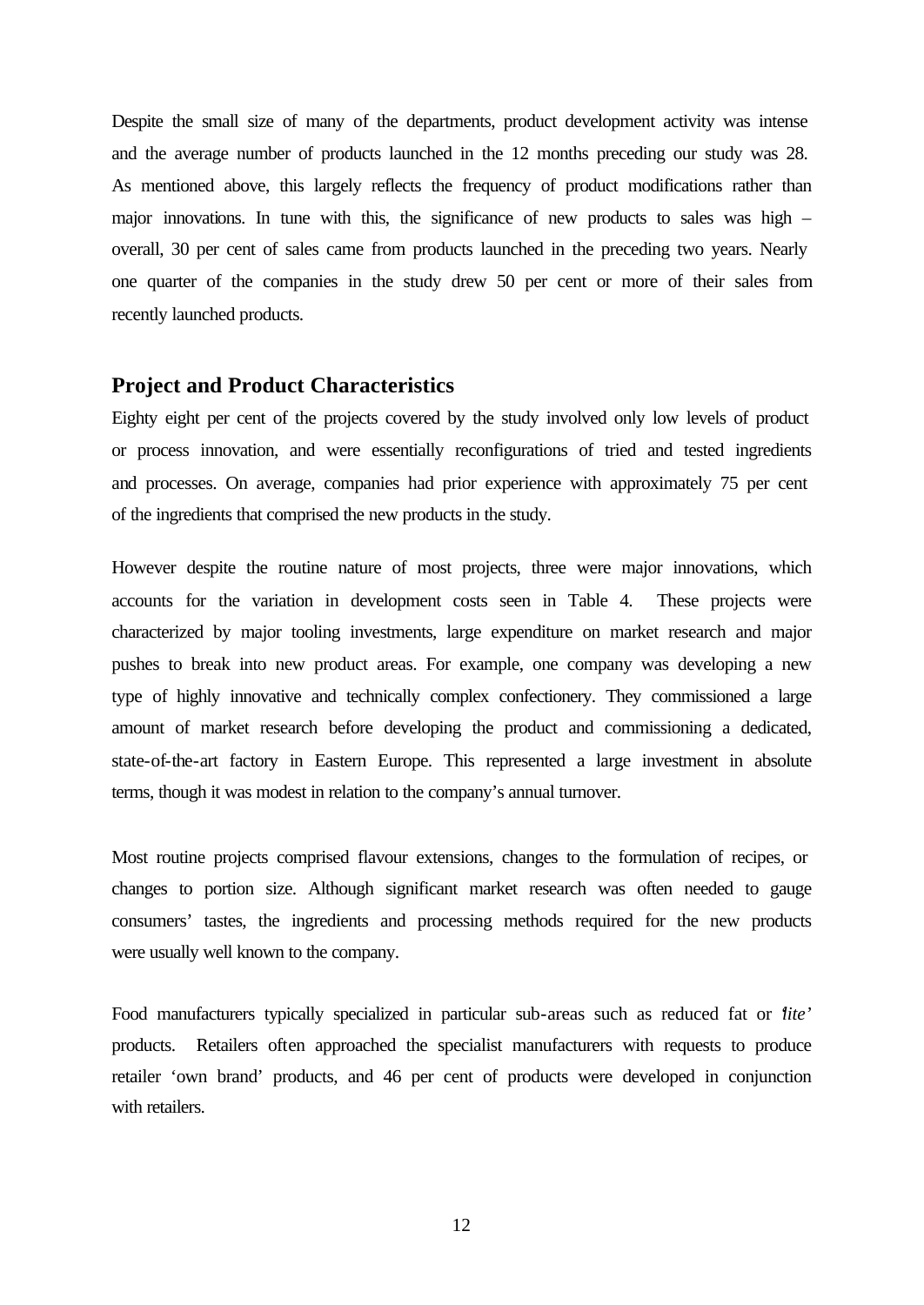Despite the small size of many of the departments, product development activity was intense and the average number of products launched in the 12 months preceding our study was 28. As mentioned above, this largely reflects the frequency of product modifications rather than major innovations. In tune with this, the significance of new products to sales was high – overall, 30 per cent of sales came from products launched in the preceding two years. Nearly one quarter of the companies in the study drew 50 per cent or more of their sales from recently launched products.

## **Project and Product Characteristics**

Eighty eight per cent of the projects covered by the study involved only low levels of product or process innovation, and were essentially reconfigurations of tried and tested ingredients and processes. On average, companies had prior experience with approximately 75 per cent of the ingredients that comprised the new products in the study.

However despite the routine nature of most projects, three were major innovations, which accounts for the variation in development costs seen in Table 4. These projects were characterized by major tooling investments, large expenditure on market research and major pushes to break into new product areas. For example, one company was developing a new type of highly innovative and technically complex confectionery. They commissioned a large amount of market research before developing the product and commissioning a dedicated, state-of-the-art factory in Eastern Europe. This represented a large investment in absolute terms, though it was modest in relation to the company's annual turnover.

Most routine projects comprised flavour extensions, changes to the formulation of recipes, or changes to portion size. Although significant market research was often needed to gauge consumers' tastes, the ingredients and processing methods required for the new products were usually well known to the company.

Food manufacturers typically specialized in particular sub-areas such as reduced fat or '*lite'*  products. Retailers often approached the specialist manufacturers with requests to produce retailer 'own brand' products, and 46 per cent of products were developed in conjunction with retailers.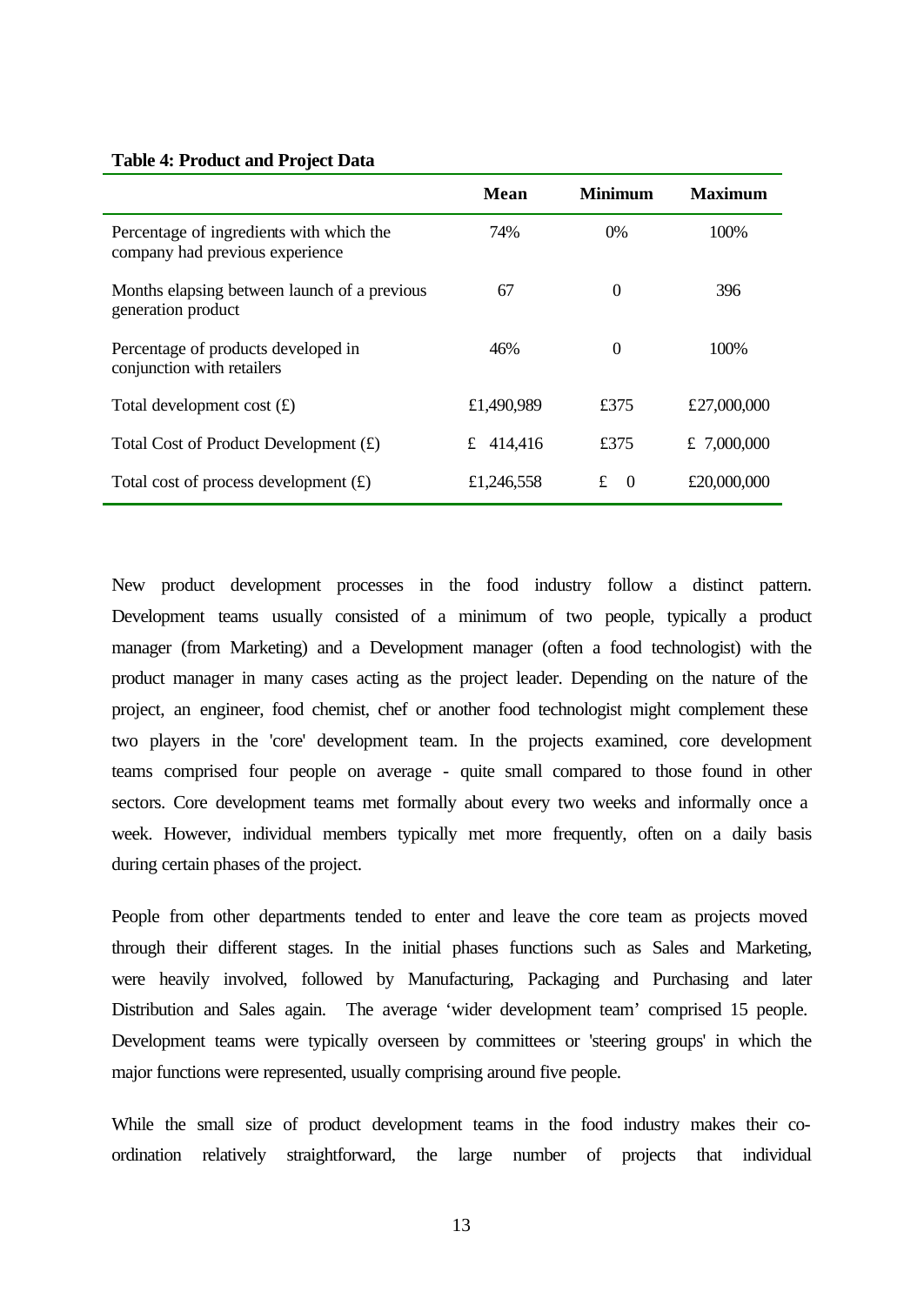|                                                                             | Mean         | <b>Minimum</b>      | Maximum     |
|-----------------------------------------------------------------------------|--------------|---------------------|-------------|
| Percentage of ingredients with which the<br>company had previous experience | 74%          | $0\%$               | 100%        |
| Months elapsing between launch of a previous<br>generation product          | 67           | $\boldsymbol{0}$    | 396         |
| Percentage of products developed in<br>conjunction with retailers           | 46%          | $\Omega$            | 100%        |
| Total development cost $(f)$                                                | £1,490,989   | £375                | £27,000,000 |
| Total Cost of Product Development $(f)$                                     | 414,416<br>£ | £375                | £ 7,000,000 |
| Total cost of process development $(f)$                                     | £1,246,558   | £<br>$\overline{0}$ | £20,000,000 |

New product development processes in the food industry follow a distinct pattern. Development teams usually consisted of a minimum of two people, typically a product manager (from Marketing) and a Development manager (often a food technologist) with the product manager in many cases acting as the project leader. Depending on the nature of the project, an engineer, food chemist, chef or another food technologist might complement these two players in the 'core' development team. In the projects examined, core development teams comprised four people on average - quite small compared to those found in other sectors. Core development teams met formally about every two weeks and informally once a week. However, individual members typically met more frequently, often on a daily basis during certain phases of the project.

People from other departments tended to enter and leave the core team as projects moved through their different stages. In the initial phases functions such as Sales and Marketing, were heavily involved, followed by Manufacturing, Packaging and Purchasing and later Distribution and Sales again. The average 'wider development team' comprised 15 people. Development teams were typically overseen by committees or 'steering groups' in which the major functions were represented, usually comprising around five people.

While the small size of product development teams in the food industry makes their coordination relatively straightforward, the large number of projects that individual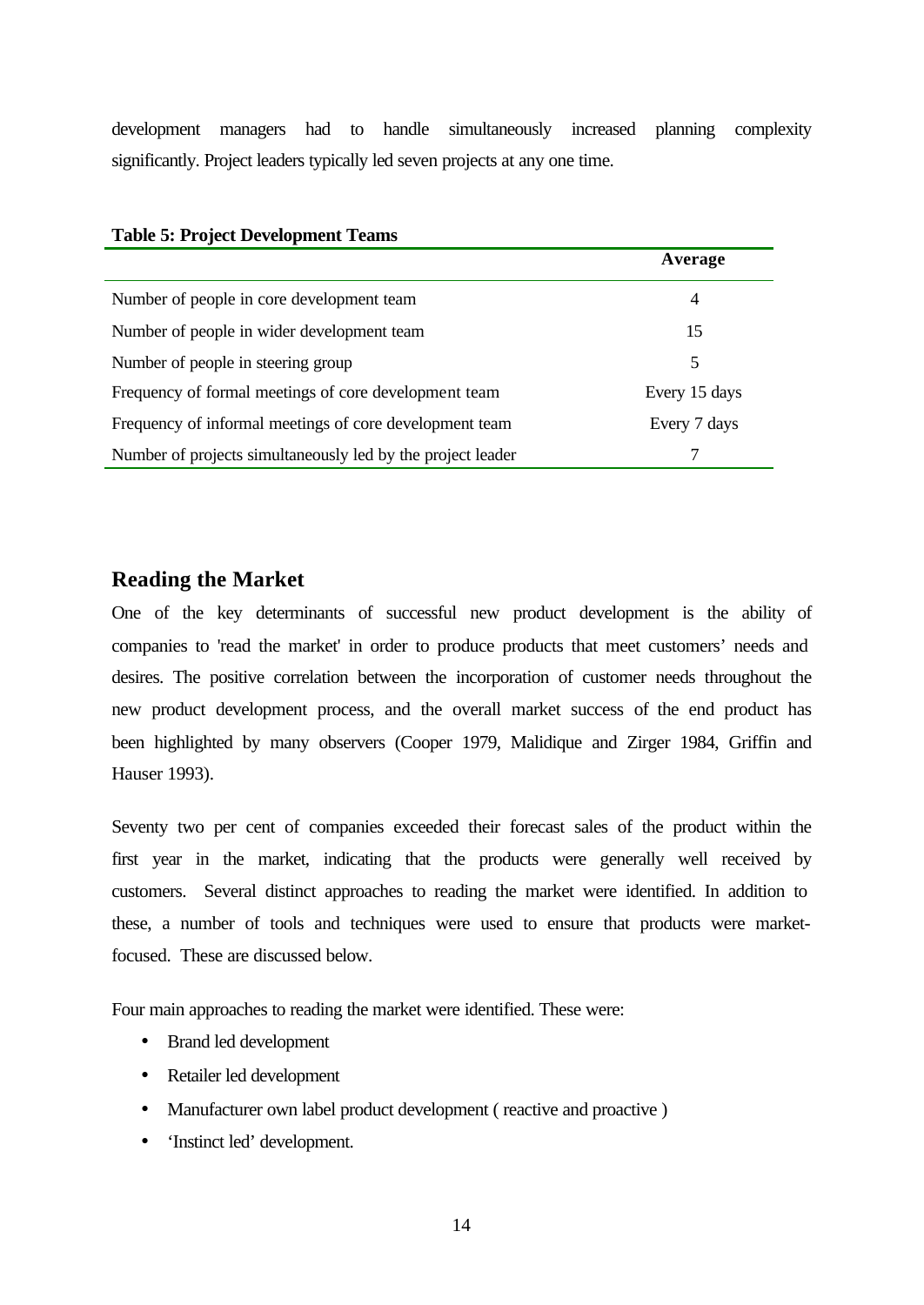development managers had to handle simultaneously increased planning complexity significantly. Project leaders typically led seven projects at any one time.

| $10000$ $\sigma$ , $10000$ $\sigma$ $\sigma$ , $0000$ $\sigma$ |                |
|----------------------------------------------------------------|----------------|
|                                                                | Average        |
| Number of people in core development team                      | $\overline{4}$ |
| Number of people in wider development team                     | 15             |
| Number of people in steering group                             | 5              |
| Frequency of formal meetings of core development team          | Every 15 days  |
| Frequency of informal meetings of core development team        | Every 7 days   |
| Number of projects simultaneously led by the project leader    |                |

## **Table 5: Project Development Teams**

## **Reading the Market**

One of the key determinants of successful new product development is the ability of companies to 'read the market' in order to produce products that meet customers' needs and desires. The positive correlation between the incorporation of customer needs throughout the new product development process, and the overall market success of the end product has been highlighted by many observers (Cooper 1979, Malidique and Zirger 1984, Griffin and Hauser 1993).

Seventy two per cent of companies exceeded their forecast sales of the product within the first year in the market, indicating that the products were generally well received by customers. Several distinct approaches to reading the market were identified. In addition to these, a number of tools and techniques were used to ensure that products were marketfocused. These are discussed below.

Four main approaches to reading the market were identified. These were:

- Brand led development
- Retailer led development
- Manufacturer own label product development (reactive and proactive)
- 'Instinct led' development.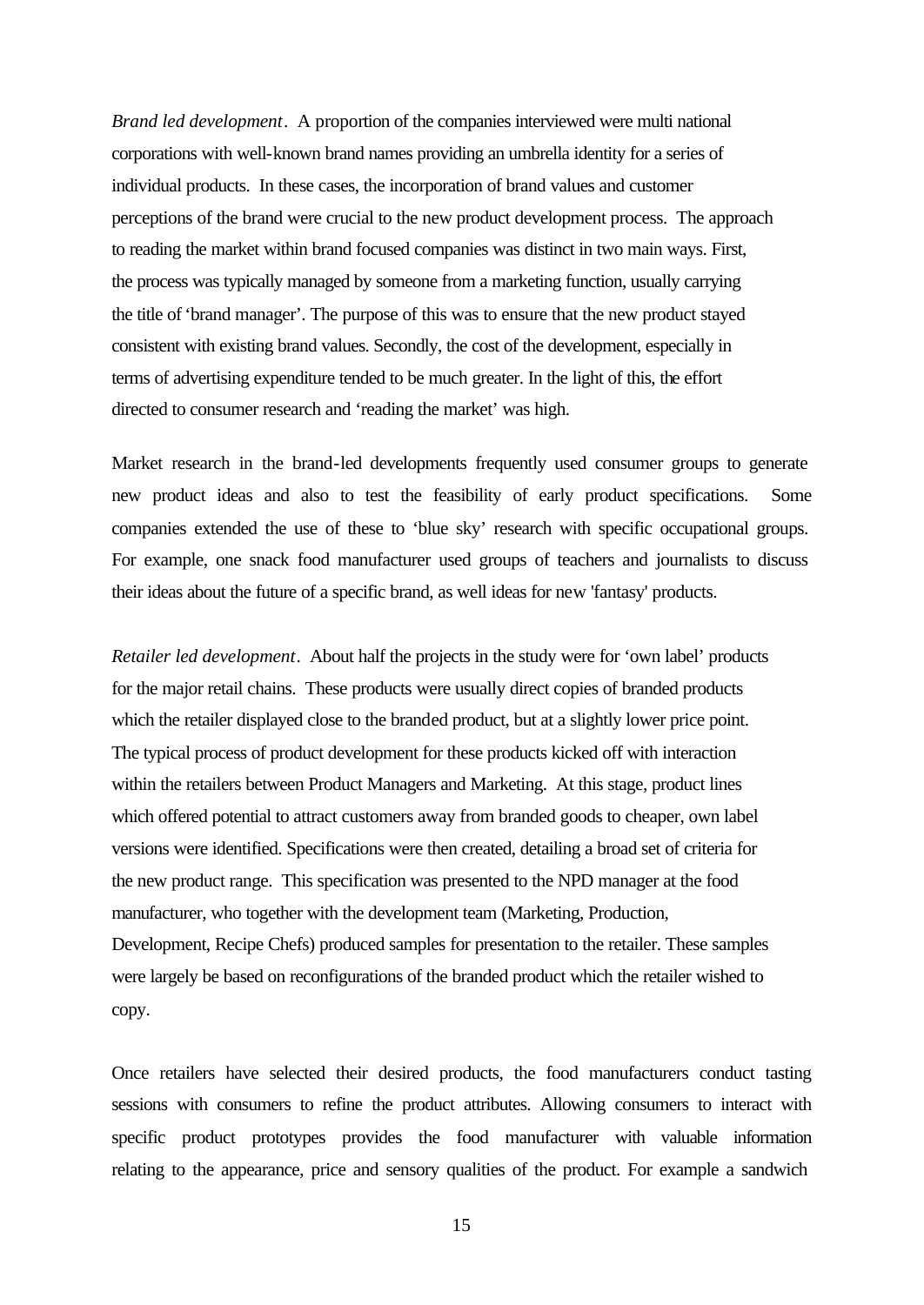*Brand led development*. A proportion of the companies interviewed were multi national corporations with well-known brand names providing an umbrella identity for a series of individual products. In these cases, the incorporation of brand values and customer perceptions of the brand were crucial to the new product development process. The approach to reading the market within brand focused companies was distinct in two main ways. First, the process was typically managed by someone from a marketing function, usually carrying the title of 'brand manager'. The purpose of this was to ensure that the new product stayed consistent with existing brand values. Secondly, the cost of the development, especially in terms of advertising expenditure tended to be much greater. In the light of this, the effort directed to consumer research and 'reading the market' was high.

Market research in the brand-led developments frequently used consumer groups to generate new product ideas and also to test the feasibility of early product specifications. Some companies extended the use of these to 'blue sky' research with specific occupational groups. For example, one snack food manufacturer used groups of teachers and journalists to discuss their ideas about the future of a specific brand, as well ideas for new 'fantasy' products.

*Retailer led development*. About half the projects in the study were for 'own label' products for the major retail chains. These products were usually direct copies of branded products which the retailer displayed close to the branded product, but at a slightly lower price point. The typical process of product development for these products kicked off with interaction within the retailers between Product Managers and Marketing. At this stage, product lines which offered potential to attract customers away from branded goods to cheaper, own label versions were identified. Specifications were then created, detailing a broad set of criteria for the new product range. This specification was presented to the NPD manager at the food manufacturer, who together with the development team (Marketing, Production, Development, Recipe Chefs) produced samples for presentation to the retailer. These samples were largely be based on reconfigurations of the branded product which the retailer wished to copy.

Once retailers have selected their desired products, the food manufacturers conduct tasting sessions with consumers to refine the product attributes. Allowing consumers to interact with specific product prototypes provides the food manufacturer with valuable information relating to the appearance, price and sensory qualities of the product. For example a sandwich

15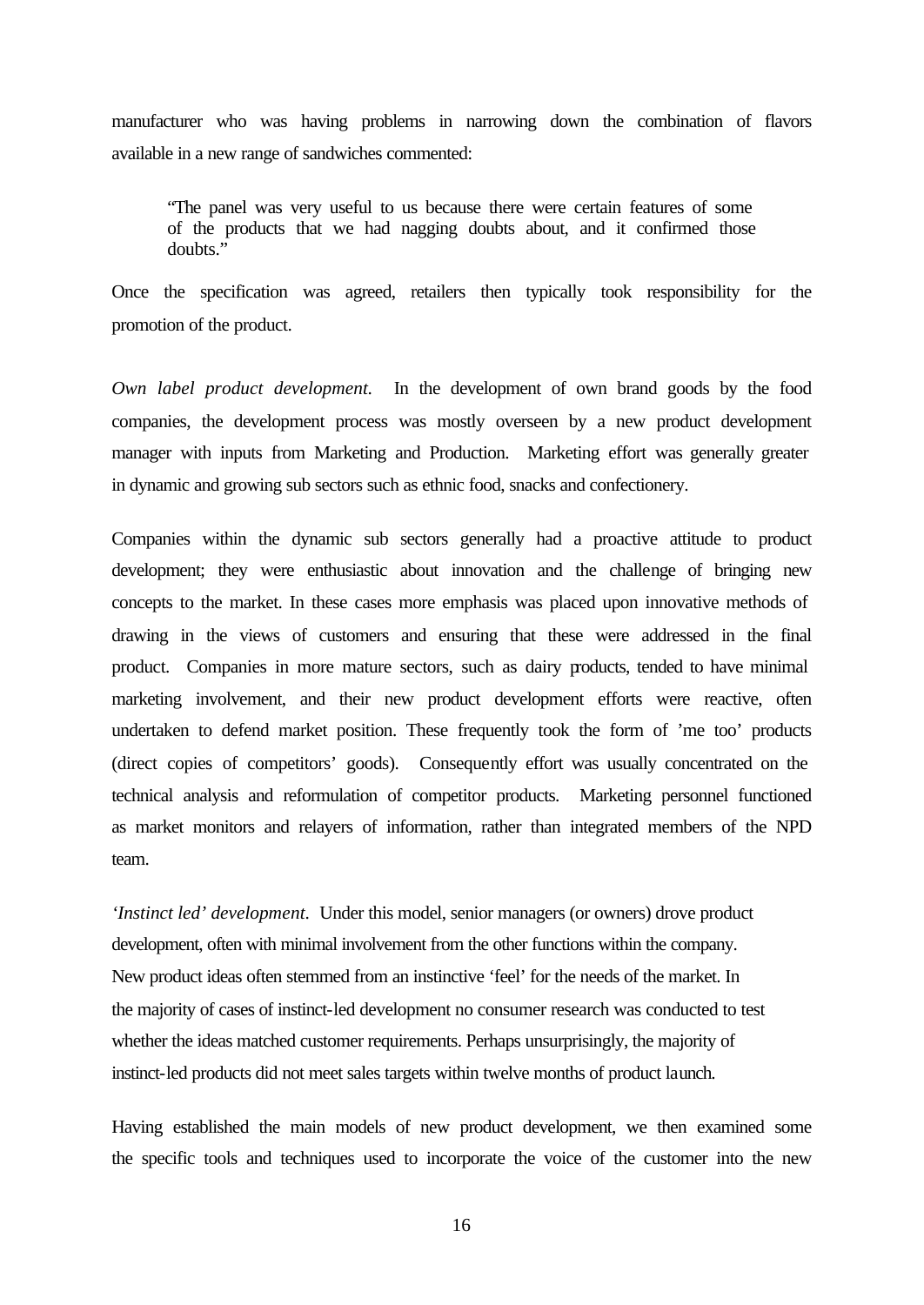manufacturer who was having problems in narrowing down the combination of flavors available in a new range of sandwiches commented:

"The panel was very useful to us because there were certain features of some of the products that we had nagging doubts about, and it confirmed those doubts."

Once the specification was agreed, retailers then typically took responsibility for the promotion of the product.

*Own label product development.* In the development of own brand goods by the food companies, the development process was mostly overseen by a new product development manager with inputs from Marketing and Production. Marketing effort was generally greater in dynamic and growing sub sectors such as ethnic food, snacks and confectionery.

Companies within the dynamic sub sectors generally had a proactive attitude to product development; they were enthusiastic about innovation and the challenge of bringing new concepts to the market. In these cases more emphasis was placed upon innovative methods of drawing in the views of customers and ensuring that these were addressed in the final product. Companies in more mature sectors, such as dairy products, tended to have minimal marketing involvement, and their new product development efforts were reactive, often undertaken to defend market position. These frequently took the form of 'me too' products (direct copies of competitors' goods). Consequently effort was usually concentrated on the technical analysis and reformulation of competitor products. Marketing personnel functioned as market monitors and relayers of information, rather than integrated members of the NPD team.

*'Instinct led' development.* Under this model, senior managers (or owners) drove product development, often with minimal involvement from the other functions within the company. New product ideas often stemmed from an instinctive 'feel' for the needs of the market. In the majority of cases of instinct-led development no consumer research was conducted to test whether the ideas matched customer requirements. Perhaps unsurprisingly, the majority of instinct-led products did not meet sales targets within twelve months of product launch.

Having established the main models of new product development, we then examined some the specific tools and techniques used to incorporate the voice of the customer into the new

16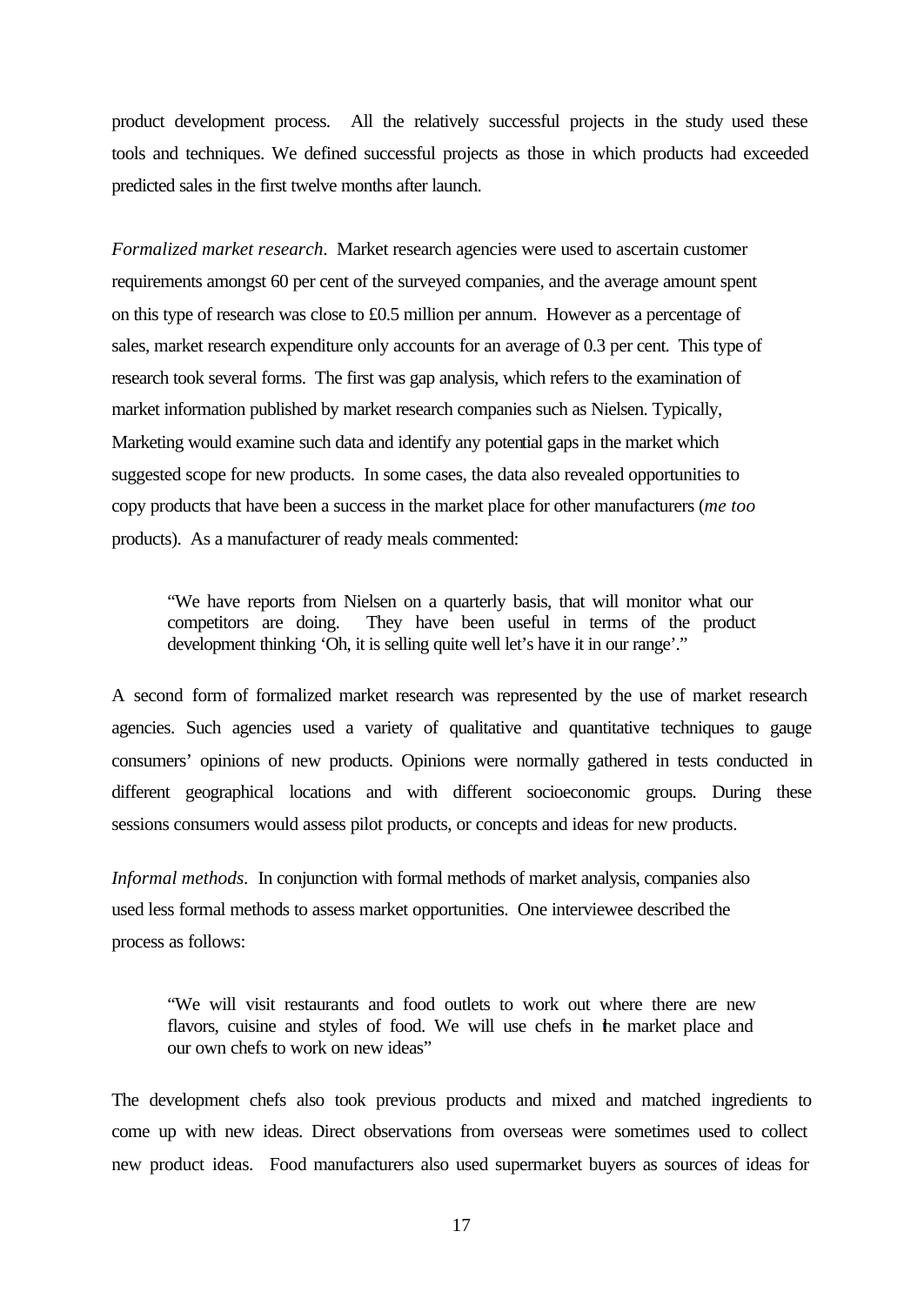product development process. All the relatively successful projects in the study used these tools and techniques. We defined successful projects as those in which products had exceeded predicted sales in the first twelve months after launch.

*Formalized market research*. Market research agencies were used to ascertain customer requirements amongst 60 per cent of the surveyed companies, and the average amount spent on this type of research was close to £0.5 million per annum. However as a percentage of sales, market research expenditure only accounts for an average of 0.3 per cent. This type of research took several forms. The first was gap analysis, which refers to the examination of market information published by market research companies such as Nielsen. Typically, Marketing would examine such data and identify any potential gaps in the market which suggested scope for new products. In some cases, the data also revealed opportunities to copy products that have been a success in the market place for other manufacturers (*me too* products). As a manufacturer of ready meals commented:

"We have reports from Nielsen on a quarterly basis, that will monitor what our competitors are doing. They have been useful in terms of the product development thinking 'Oh, it is selling quite well let's have it in our range'."

A second form of formalized market research was represented by the use of market research agencies. Such agencies used a variety of qualitative and quantitative techniques to gauge consumers' opinions of new products. Opinions were normally gathered in tests conducted in different geographical locations and with different socioeconomic groups. During these sessions consumers would assess pilot products, or concepts and ideas for new products.

*Informal methods.* In conjunction with formal methods of market analysis, companies also used less formal methods to assess market opportunities. One interviewee described the process as follows:

"We will visit restaurants and food outlets to work out where there are new flavors, cuisine and styles of food. We will use chefs in the market place and our own chefs to work on new ideas"

The development chefs also took previous products and mixed and matched ingredients to come up with new ideas. Direct observations from overseas were sometimes used to collect new product ideas. Food manufacturers also used supermarket buyers as sources of ideas for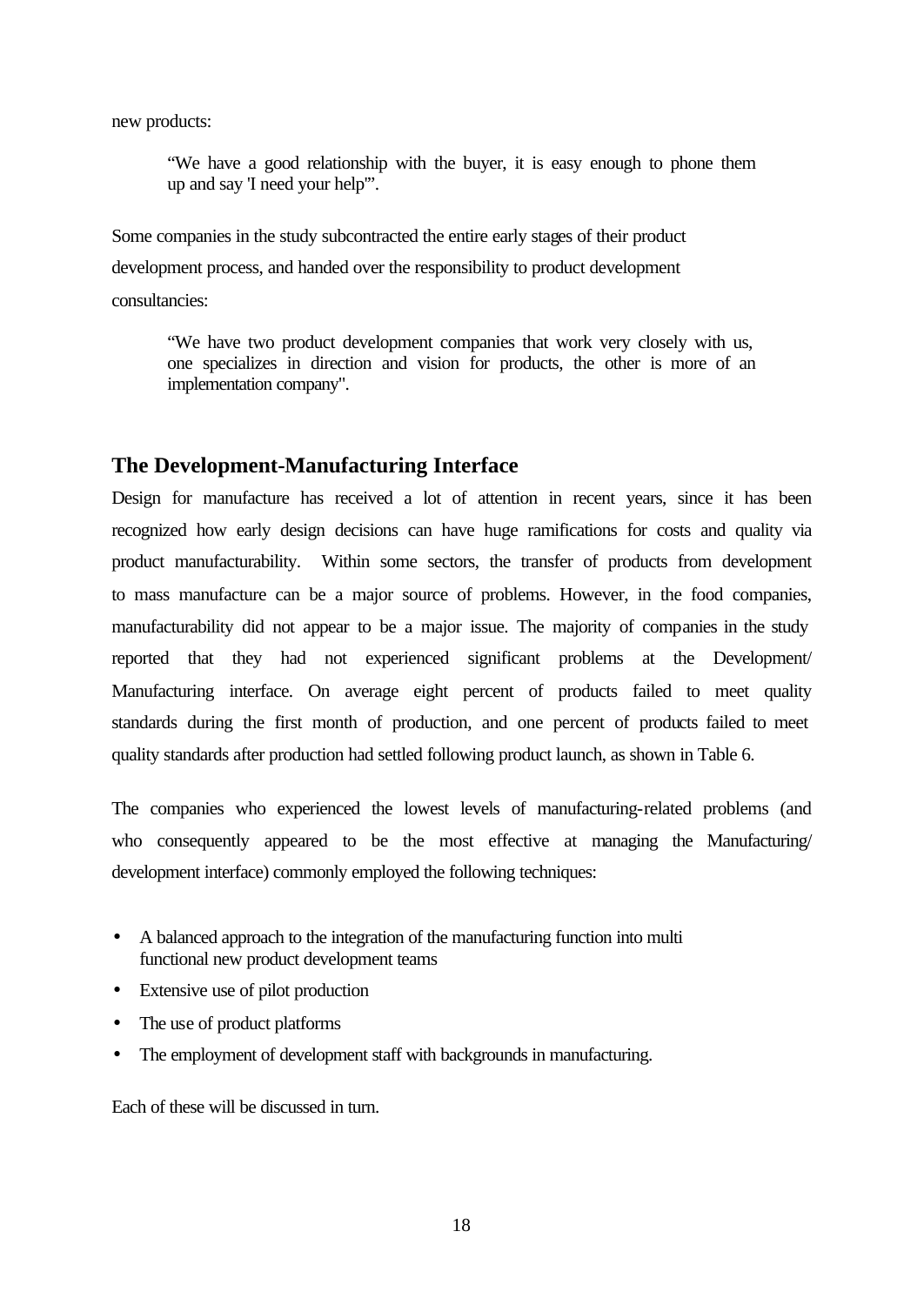new products:

"We have a good relationship with the buyer, it is easy enough to phone them up and say 'I need your help'".

Some companies in the study subcontracted the entire early stages of their product development process, and handed over the responsibility to product development consultancies:

"We have two product development companies that work very closely with us, one specializes in direction and vision for products, the other is more of an implementation company".

## **The Development-Manufacturing Interface**

Design for manufacture has received a lot of attention in recent years, since it has been recognized how early design decisions can have huge ramifications for costs and quality via product manufacturability. Within some sectors, the transfer of products from development to mass manufacture can be a major source of problems. However, in the food companies, manufacturability did not appear to be a major issue. The majority of companies in the study reported that they had not experienced significant problems at the Development/ Manufacturing interface. On average eight percent of products failed to meet quality standards during the first month of production, and one percent of products failed to meet quality standards after production had settled following product launch, as shown in Table 6.

The companies who experienced the lowest levels of manufacturing-related problems (and who consequently appeared to be the most effective at managing the Manufacturing/ development interface) commonly employed the following techniques:

- A balanced approach to the integration of the manufacturing function into multi functional new product development teams
- Extensive use of pilot production
- The use of product platforms
- The employment of development staff with backgrounds in manufacturing.

Each of these will be discussed in turn.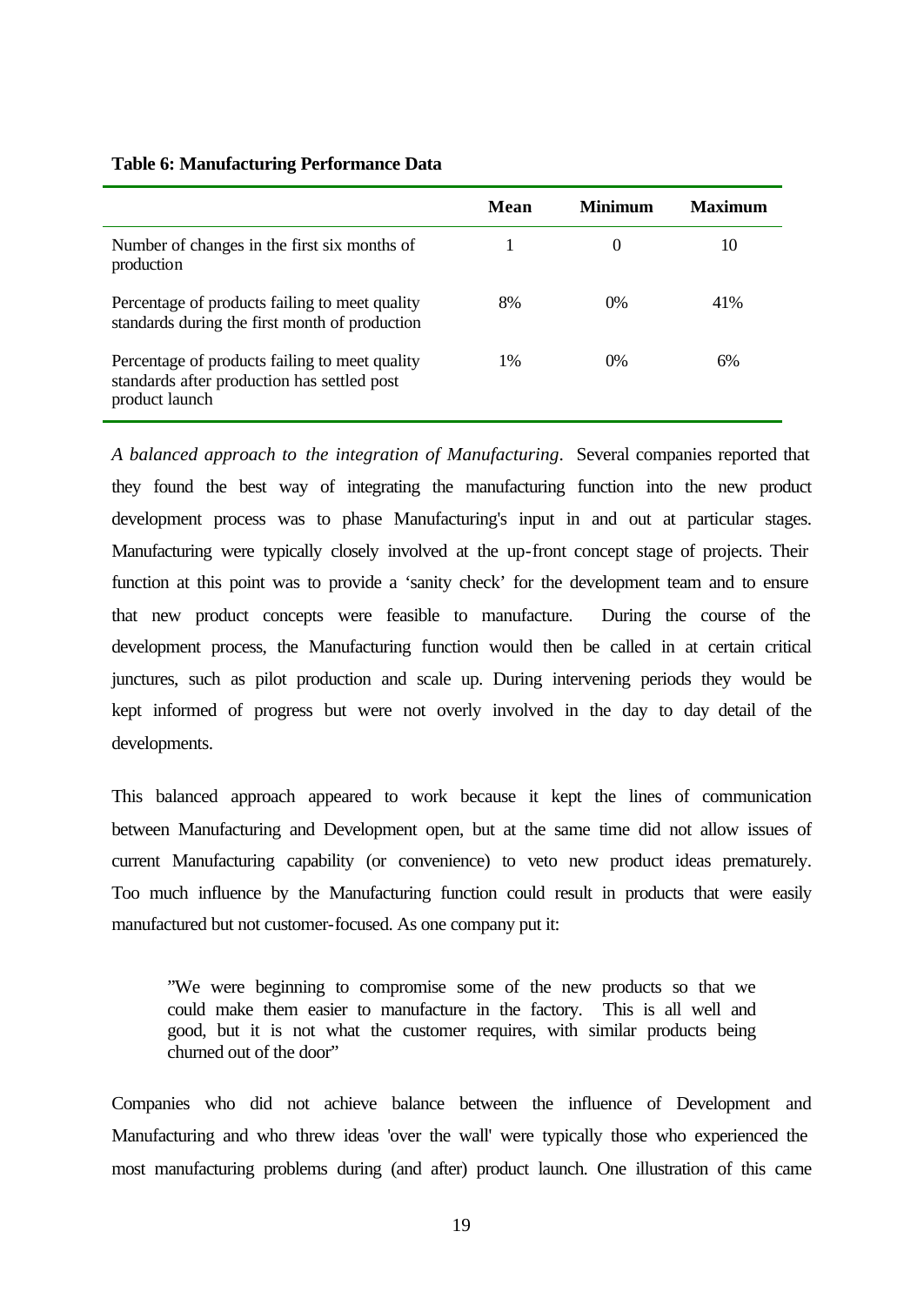|                                                                                                                 | Mean | Minimum | Maximum |
|-----------------------------------------------------------------------------------------------------------------|------|---------|---------|
| Number of changes in the first six months of<br>production                                                      |      | 0       | 10      |
| Percentage of products failing to meet quality<br>standards during the first month of production                | 8%   | $0\%$   | 41%     |
| Percentage of products failing to meet quality<br>standards after production has settled post<br>product launch | 1%   | $0\%$   | 6%      |

#### **Table 6: Manufacturing Performance Data**

*A balanced approach to the integration of Manufacturing*. Several companies reported that they found the best way of integrating the manufacturing function into the new product development process was to phase Manufacturing's input in and out at particular stages. Manufacturing were typically closely involved at the up-front concept stage of projects. Their function at this point was to provide a 'sanity check' for the development team and to ensure that new product concepts were feasible to manufacture. During the course of the development process, the Manufacturing function would then be called in at certain critical junctures, such as pilot production and scale up. During intervening periods they would be kept informed of progress but were not overly involved in the day to day detail of the developments.

This balanced approach appeared to work because it kept the lines of communication between Manufacturing and Development open, but at the same time did not allow issues of current Manufacturing capability (or convenience) to veto new product ideas prematurely. Too much influence by the Manufacturing function could result in products that were easily manufactured but not customer-focused. As one company put it:

"We were beginning to compromise some of the new products so that we could make them easier to manufacture in the factory. This is all well and good, but it is not what the customer requires, with similar products being churned out of the door"

Companies who did not achieve balance between the influence of Development and Manufacturing and who threw ideas 'over the wall' were typically those who experienced the most manufacturing problems during (and after) product launch. One illustration of this came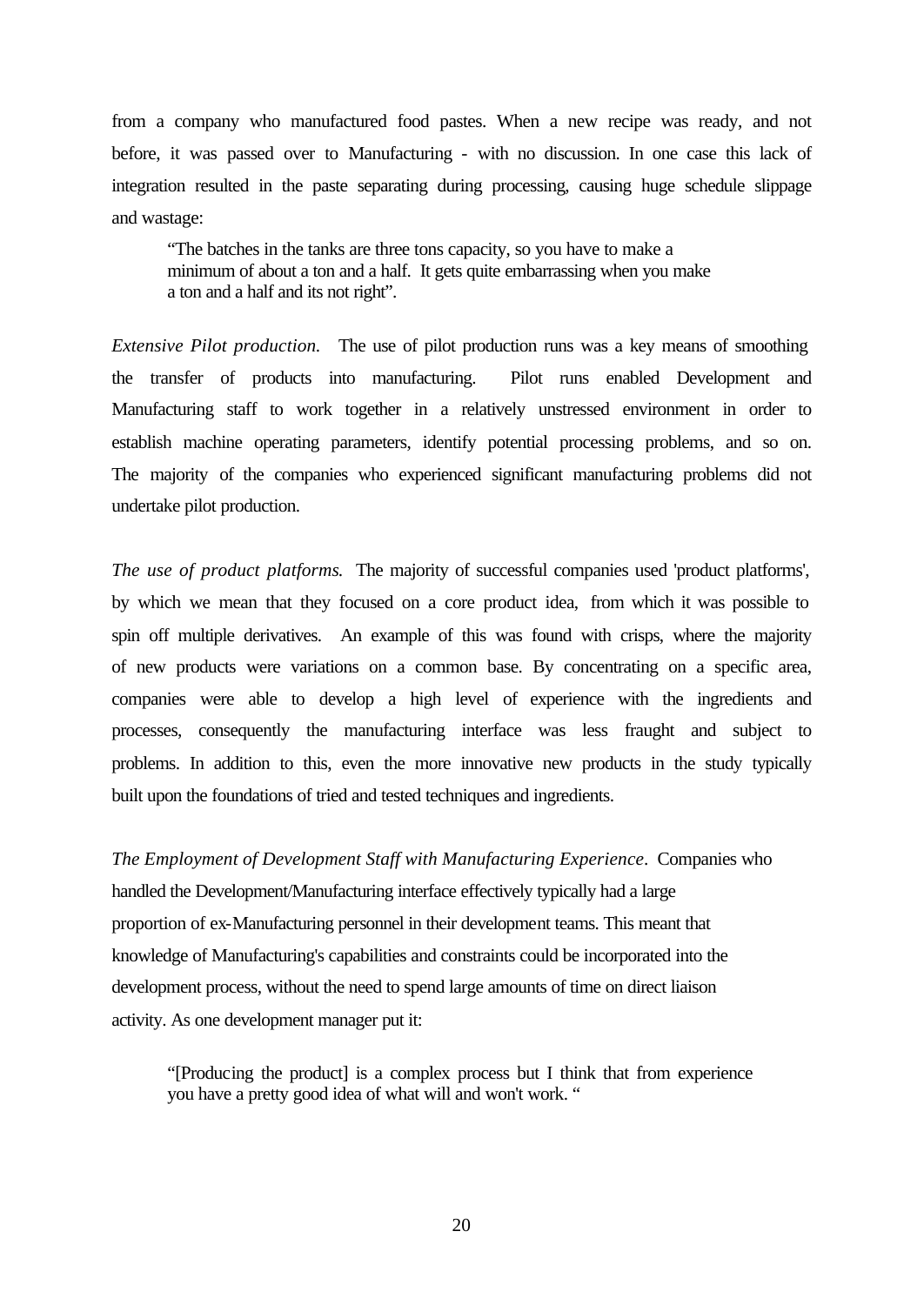from a company who manufactured food pastes. When a new recipe was ready, and not before, it was passed over to Manufacturing - with no discussion. In one case this lack of integration resulted in the paste separating during processing, causing huge schedule slippage and wastage:

"The batches in the tanks are three tons capacity, so you have to make a minimum of about a ton and a half. It gets quite embarrassing when you make a ton and a half and its not right".

*Extensive Pilot production.* The use of pilot production runs was a key means of smoothing the transfer of products into manufacturing. Pilot runs enabled Development and Manufacturing staff to work together in a relatively unstressed environment in order to establish machine operating parameters, identify potential processing problems, and so on. The majority of the companies who experienced significant manufacturing problems did not undertake pilot production.

*The use of product platforms*. The majority of successful companies used 'product platforms', by which we mean that they focused on a core product idea, from which it was possible to spin off multiple derivatives. An example of this was found with crisps, where the majority of new products were variations on a common base. By concentrating on a specific area, companies were able to develop a high level of experience with the ingredients and processes, consequently the manufacturing interface was less fraught and subject to problems. In addition to this, even the more innovative new products in the study typically built upon the foundations of tried and tested techniques and ingredients.

*The Employment of Development Staff with Manufacturing Experience*. Companies who handled the Development/Manufacturing interface effectively typically had a large proportion of ex-Manufacturing personnel in their development teams. This meant that knowledge of Manufacturing's capabilities and constraints could be incorporated into the development process, without the need to spend large amounts of time on direct liaison activity. As one development manager put it:

"[Producing the product] is a complex process but I think that from experience you have a pretty good idea of what will and won't work. "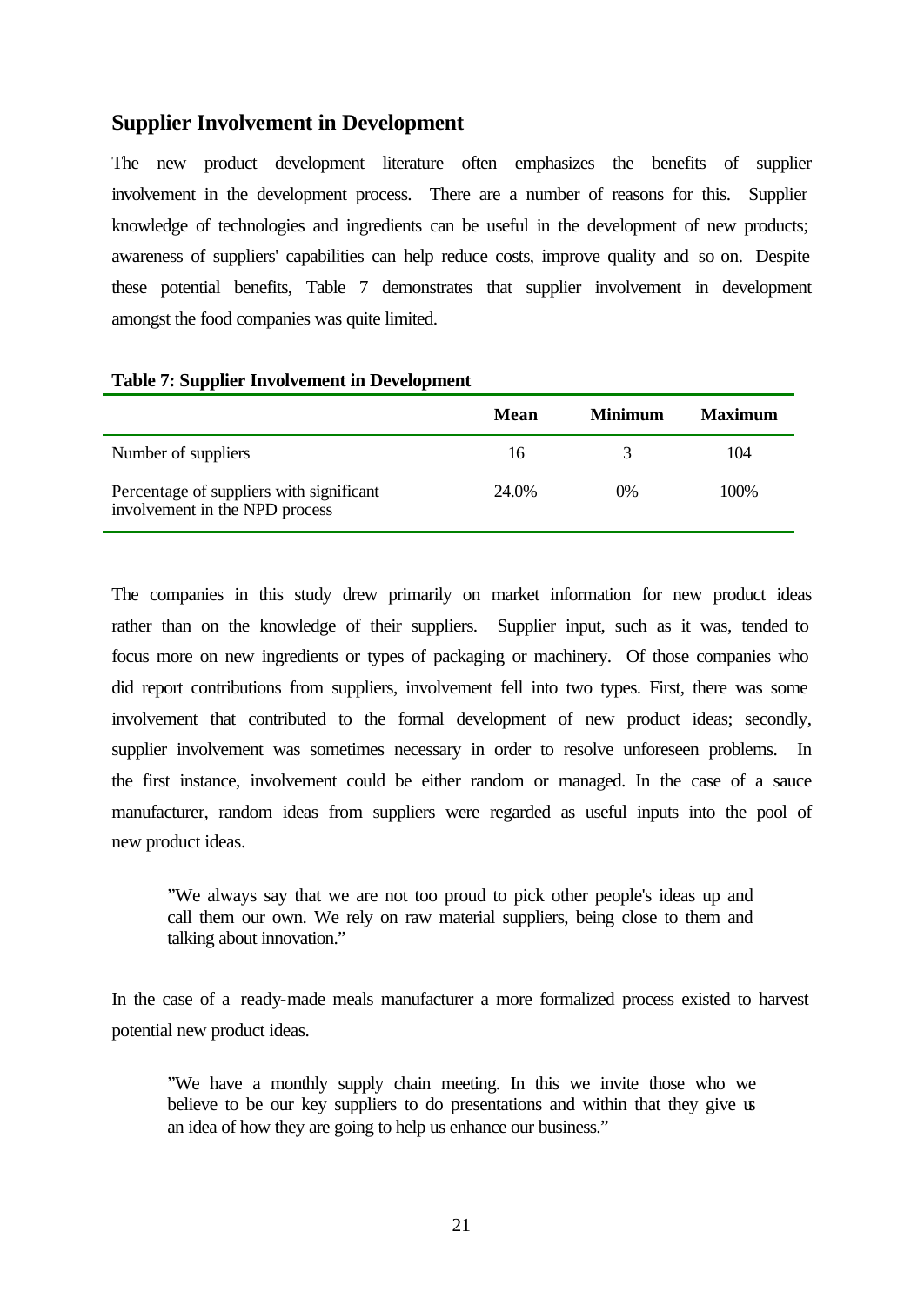## **Supplier Involvement in Development**

The new product development literature often emphasizes the benefits of supplier involvement in the development process. There are a number of reasons for this. Supplier knowledge of technologies and ingredients can be useful in the development of new products; awareness of suppliers' capabilities can help reduce costs, improve quality and so on. Despite these potential benefits, Table 7 demonstrates that supplier involvement in development amongst the food companies was quite limited.

|                                                                            | Mean  | <b>Minimum</b> | <b>Maximum</b> |
|----------------------------------------------------------------------------|-------|----------------|----------------|
| Number of suppliers                                                        | 16    |                | 104            |
| Percentage of suppliers with significant<br>involvement in the NPD process | 24.0% | 0%             | 100%           |

#### **Table 7: Supplier Involvement in Development**

The companies in this study drew primarily on market information for new product ideas rather than on the knowledge of their suppliers. Supplier input, such as it was, tended to focus more on new ingredients or types of packaging or machinery. Of those companies who did report contributions from suppliers, involvement fell into two types. First, there was some involvement that contributed to the formal development of new product ideas; secondly, supplier involvement was sometimes necessary in order to resolve unforeseen problems. In the first instance, involvement could be either random or managed. In the case of a sauce manufacturer, random ideas from suppliers were regarded as useful inputs into the pool of new product ideas.

"We always say that we are not too proud to pick other people's ideas up and call them our own. We rely on raw material suppliers, being close to them and talking about innovation."

In the case of a ready-made meals manufacturer a more formalized process existed to harvest potential new product ideas.

"We have a monthly supply chain meeting. In this we invite those who we believe to be our key suppliers to do presentations and within that they give us an idea of how they are going to help us enhance our business."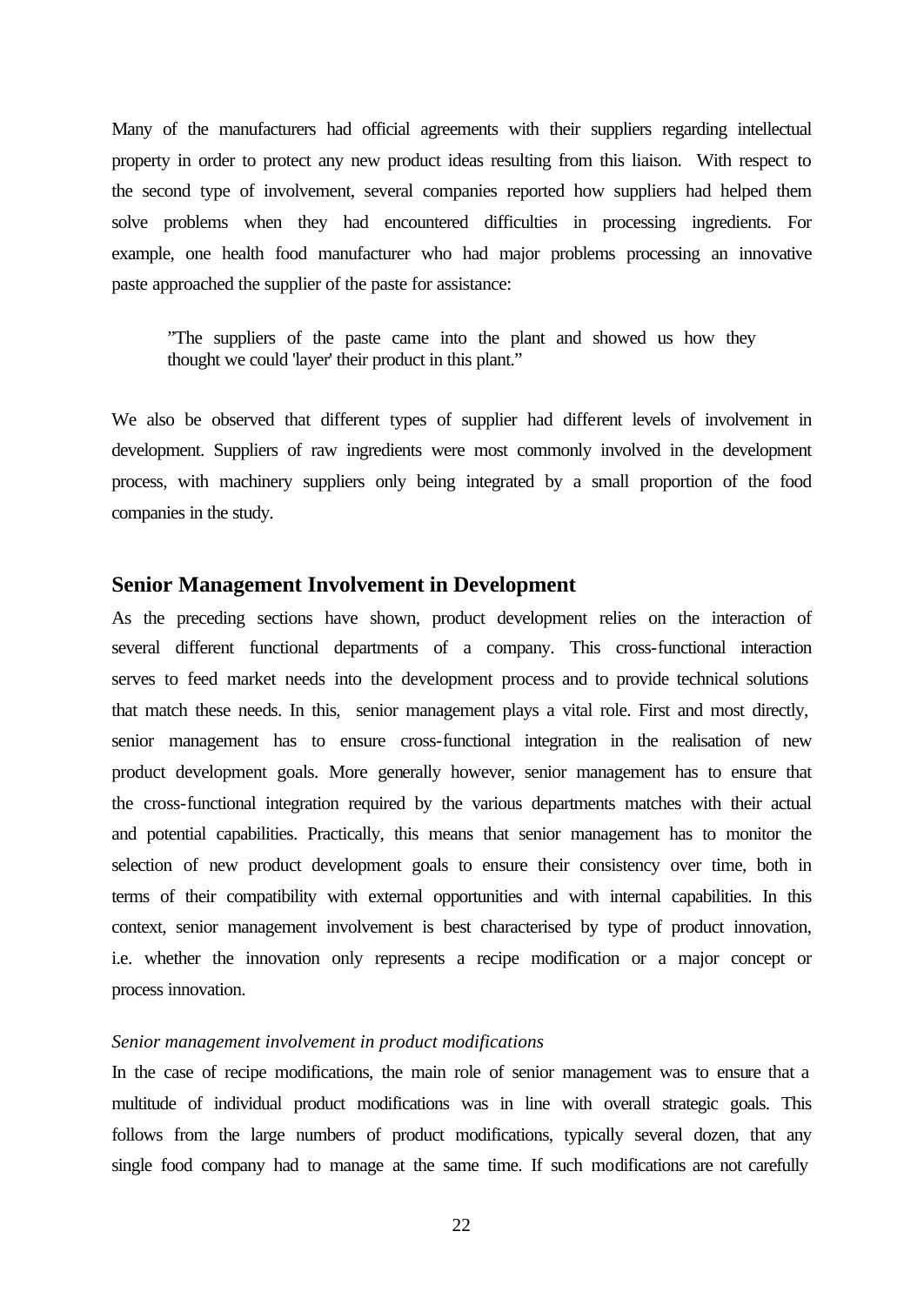Many of the manufacturers had official agreements with their suppliers regarding intellectual property in order to protect any new product ideas resulting from this liaison. With respect to the second type of involvement, several companies reported how suppliers had helped them solve problems when they had encountered difficulties in processing ingredients. For example, one health food manufacturer who had major problems processing an innovative paste approached the supplier of the paste for assistance:

"The suppliers of the paste came into the plant and showed us how they thought we could 'layer' their product in this plant."

We also be observed that different types of supplier had different levels of involvement in development. Suppliers of raw ingredients were most commonly involved in the development process, with machinery suppliers only being integrated by a small proportion of the food companies in the study.

## **Senior Management Involvement in Development**

As the preceding sections have shown, product development relies on the interaction of several different functional departments of a company. This cross-functional interaction serves to feed market needs into the development process and to provide technical solutions that match these needs. In this, senior management plays a vital role. First and most directly, senior management has to ensure cross-functional integration in the realisation of new product development goals. More generally however, senior management has to ensure that the cross-functional integration required by the various departments matches with their actual and potential capabilities. Practically, this means that senior management has to monitor the selection of new product development goals to ensure their consistency over time, both in terms of their compatibility with external opportunities and with internal capabilities. In this context, senior management involvement is best characterised by type of product innovation, i.e. whether the innovation only represents a recipe modification or a major concept or process innovation.

## *Senior management involvement in product modifications*

In the case of recipe modifications, the main role of senior management was to ensure that a multitude of individual product modifications was in line with overall strategic goals. This follows from the large numbers of product modifications, typically several dozen, that any single food company had to manage at the same time. If such modifications are not carefully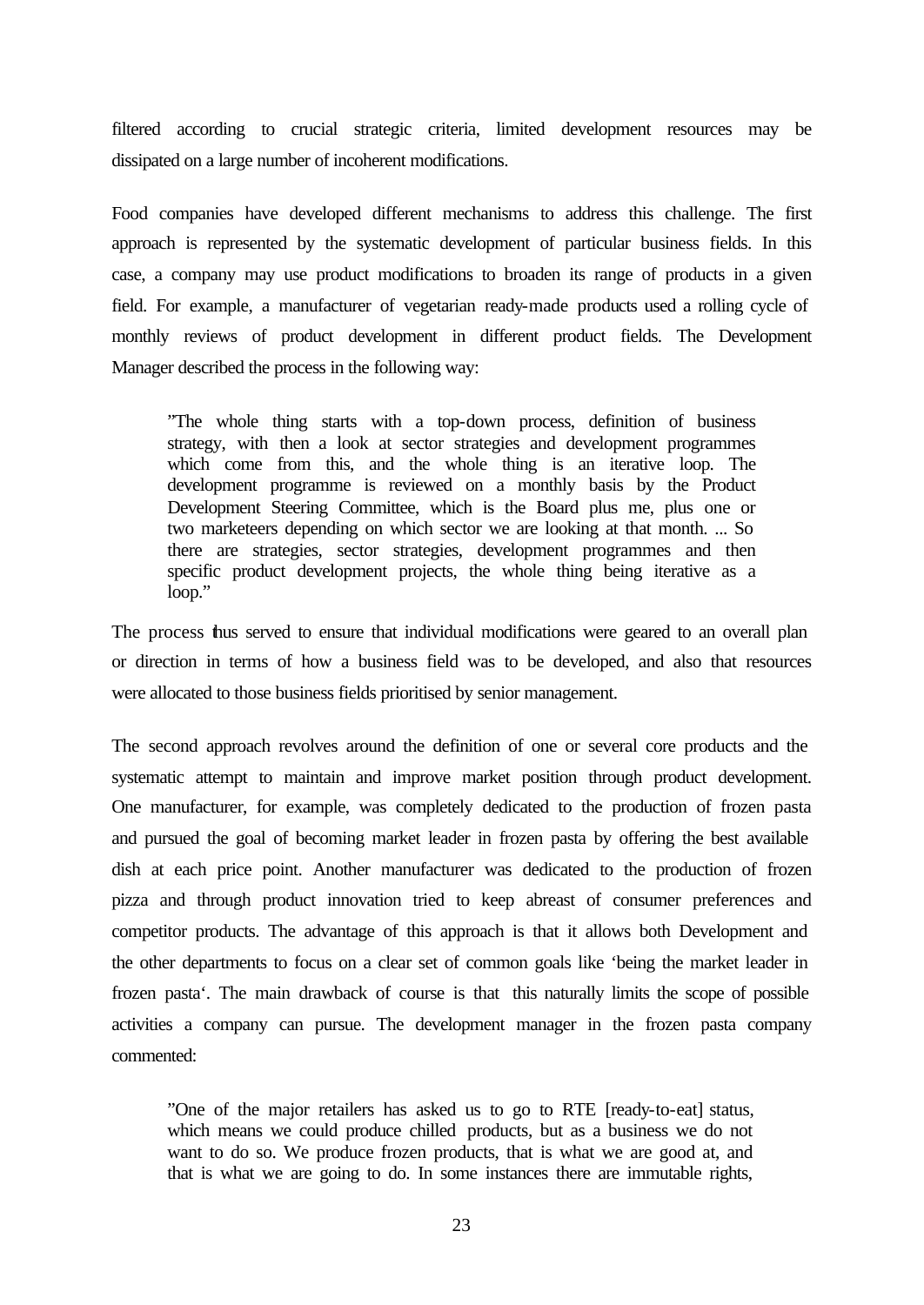filtered according to crucial strategic criteria, limited development resources may be dissipated on a large number of incoherent modifications.

Food companies have developed different mechanisms to address this challenge. The first approach is represented by the systematic development of particular business fields. In this case, a company may use product modifications to broaden its range of products in a given field. For example, a manufacturer of vegetarian ready-made products used a rolling cycle of monthly reviews of product development in different product fields. The Development Manager described the process in the following way:

"The whole thing starts with a top-down process, definition of business strategy, with then a look at sector strategies and development programmes which come from this, and the whole thing is an iterative loop. The development programme is reviewed on a monthly basis by the Product Development Steering Committee, which is the Board plus me, plus one or two marketeers depending on which sector we are looking at that month. ... So there are strategies, sector strategies, development programmes and then specific product development projects, the whole thing being iterative as a loop."

The process thus served to ensure that individual modifications were geared to an overall plan or direction in terms of how a business field was to be developed, and also that resources were allocated to those business fields prioritised by senior management.

The second approach revolves around the definition of one or several core products and the systematic attempt to maintain and improve market position through product development. One manufacturer, for example, was completely dedicated to the production of frozen pasta and pursued the goal of becoming market leader in frozen pasta by offering the best available dish at each price point. Another manufacturer was dedicated to the production of frozen pizza and through product innovation tried to keep abreast of consumer preferences and competitor products. The advantage of this approach is that it allows both Development and the other departments to focus on a clear set of common goals like 'being the market leader in frozen pasta'. The main drawback of course is that this naturally limits the scope of possible activities a company can pursue. The development manager in the frozen pasta company commented:

"One of the major retailers has asked us to go to RTE [ready-to-eat] status, which means we could produce chilled products, but as a business we do not want to do so. We produce frozen products, that is what we are good at, and that is what we are going to do. In some instances there are immutable rights,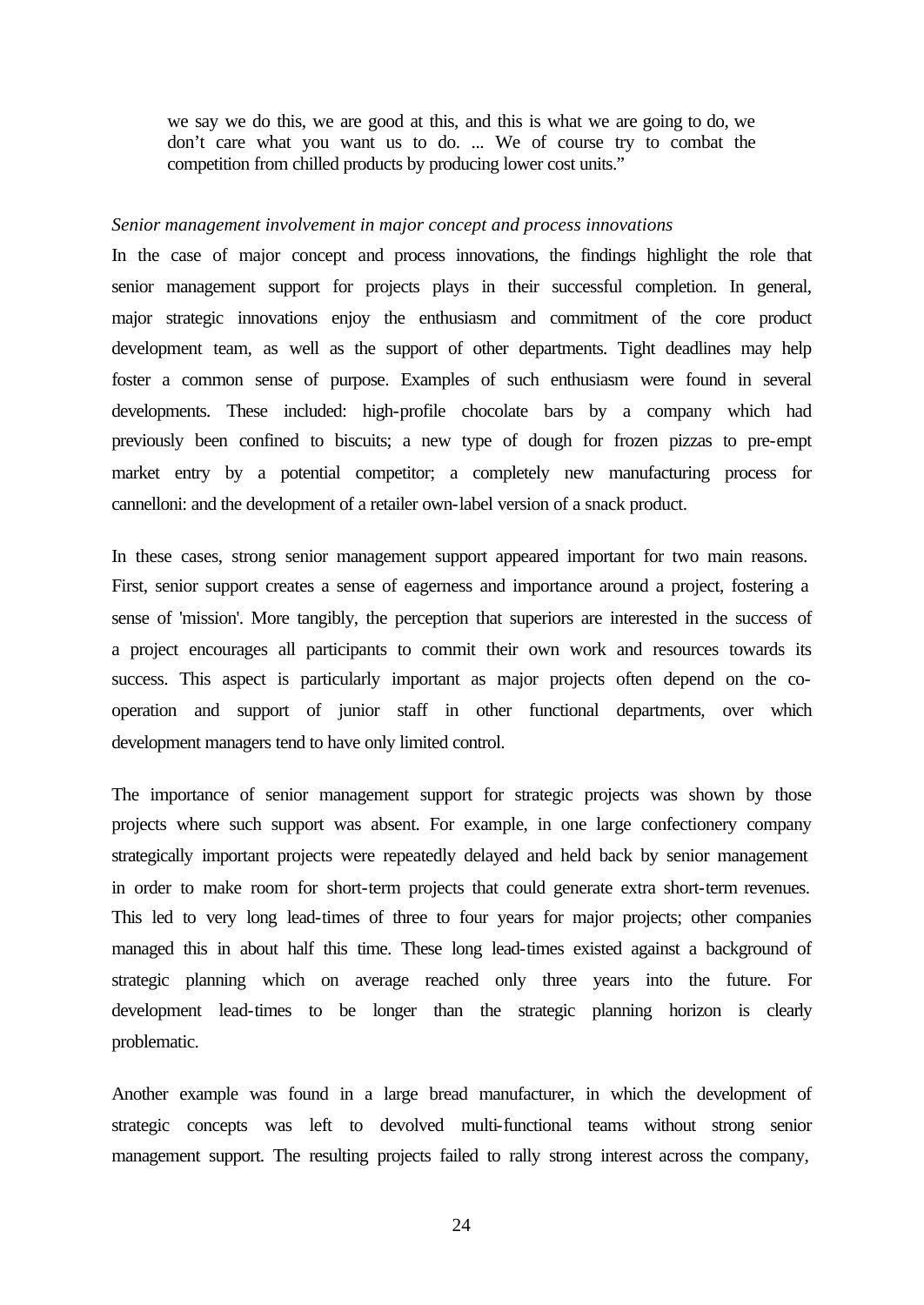we say we do this, we are good at this, and this is what we are going to do, we don't care what you want us to do. ... We of course try to combat the competition from chilled products by producing lower cost units."

#### *Senior management involvement in major concept and process innovations*

In the case of major concept and process innovations, the findings highlight the role that senior management support for projects plays in their successful completion. In general, major strategic innovations enjoy the enthusiasm and commitment of the core product development team, as well as the support of other departments. Tight deadlines may help foster a common sense of purpose. Examples of such enthusiasm were found in several developments. These included: high-profile chocolate bars by a company which had previously been confined to biscuits; a new type of dough for frozen pizzas to pre-empt market entry by a potential competitor; a completely new manufacturing process for cannelloni: and the development of a retailer own-label version of a snack product.

In these cases, strong senior management support appeared important for two main reasons. First, senior support creates a sense of eagerness and importance around a project, fostering a sense of 'mission'. More tangibly, the perception that superiors are interested in the success of a project encourages all participants to commit their own work and resources towards its success. This aspect is particularly important as major projects often depend on the cooperation and support of junior staff in other functional departments, over which development managers tend to have only limited control.

The importance of senior management support for strategic projects was shown by those projects where such support was absent. For example, in one large confectionery company strategically important projects were repeatedly delayed and held back by senior management in order to make room for short-term projects that could generate extra short-term revenues. This led to very long lead-times of three to four years for major projects; other companies managed this in about half this time. These long lead-times existed against a background of strategic planning which on average reached only three years into the future. For development lead-times to be longer than the strategic planning horizon is clearly problematic.

Another example was found in a large bread manufacturer, in which the development of strategic concepts was left to devolved multi-functional teams without strong senior management support. The resulting projects failed to rally strong interest across the company,

24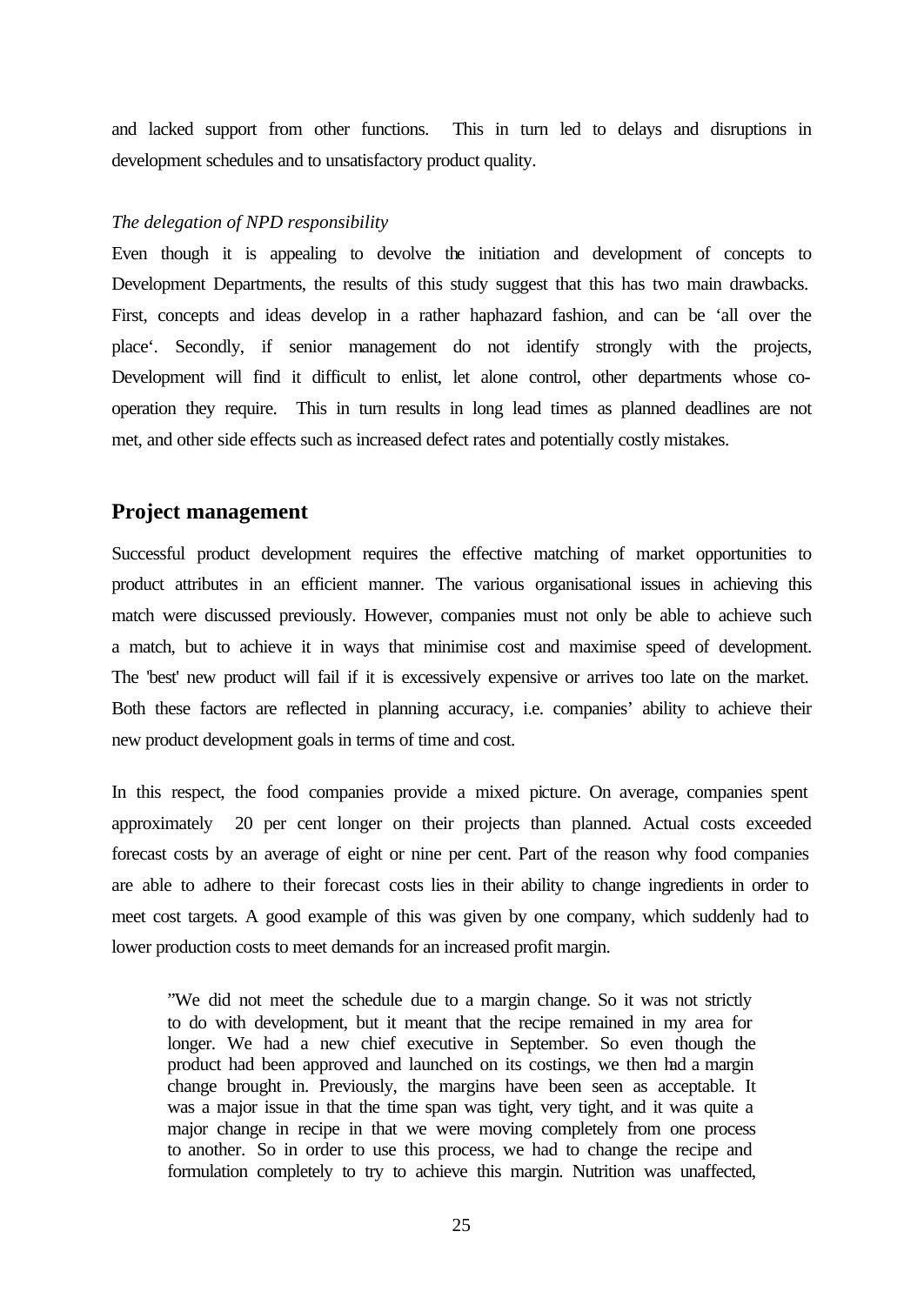and lacked support from other functions. This in turn led to delays and disruptions in development schedules and to unsatisfactory product quality.

#### *The delegation of NPD responsibility*

Even though it is appealing to devolve the initiation and development of concepts to Development Departments, the results of this study suggest that this has two main drawbacks. First, concepts and ideas develop in a rather haphazard fashion, and can be 'all over the place'. Secondly, if senior management do not identify strongly with the projects, Development will find it difficult to enlist, let alone control, other departments whose cooperation they require. This in turn results in long lead times as planned deadlines are not met, and other side effects such as increased defect rates and potentially costly mistakes.

## **Project management**

Successful product development requires the effective matching of market opportunities to product attributes in an efficient manner. The various organisational issues in achieving this match were discussed previously. However, companies must not only be able to achieve such a match, but to achieve it in ways that minimise cost and maximise speed of development. The 'best' new product will fail if it is excessively expensive or arrives too late on the market. Both these factors are reflected in planning accuracy, i.e. companies' ability to achieve their new product development goals in terms of time and cost.

In this respect, the food companies provide a mixed picture. On average, companies spent approximately 20 per cent longer on their projects than planned. Actual costs exceeded forecast costs by an average of eight or nine per cent. Part of the reason why food companies are able to adhere to their forecast costs lies in their ability to change ingredients in order to meet cost targets. A good example of this was given by one company, which suddenly had to lower production costs to meet demands for an increased profit margin.

"We did not meet the schedule due to a margin change. So it was not strictly to do with development, but it meant that the recipe remained in my area for longer. We had a new chief executive in September. So even though the product had been approved and launched on its costings, we then had a margin change brought in. Previously, the margins have been seen as acceptable. It was a major issue in that the time span was tight, very tight, and it was quite a major change in recipe in that we were moving completely from one process to another. So in order to use this process, we had to change the recipe and formulation completely to try to achieve this margin. Nutrition was unaffected,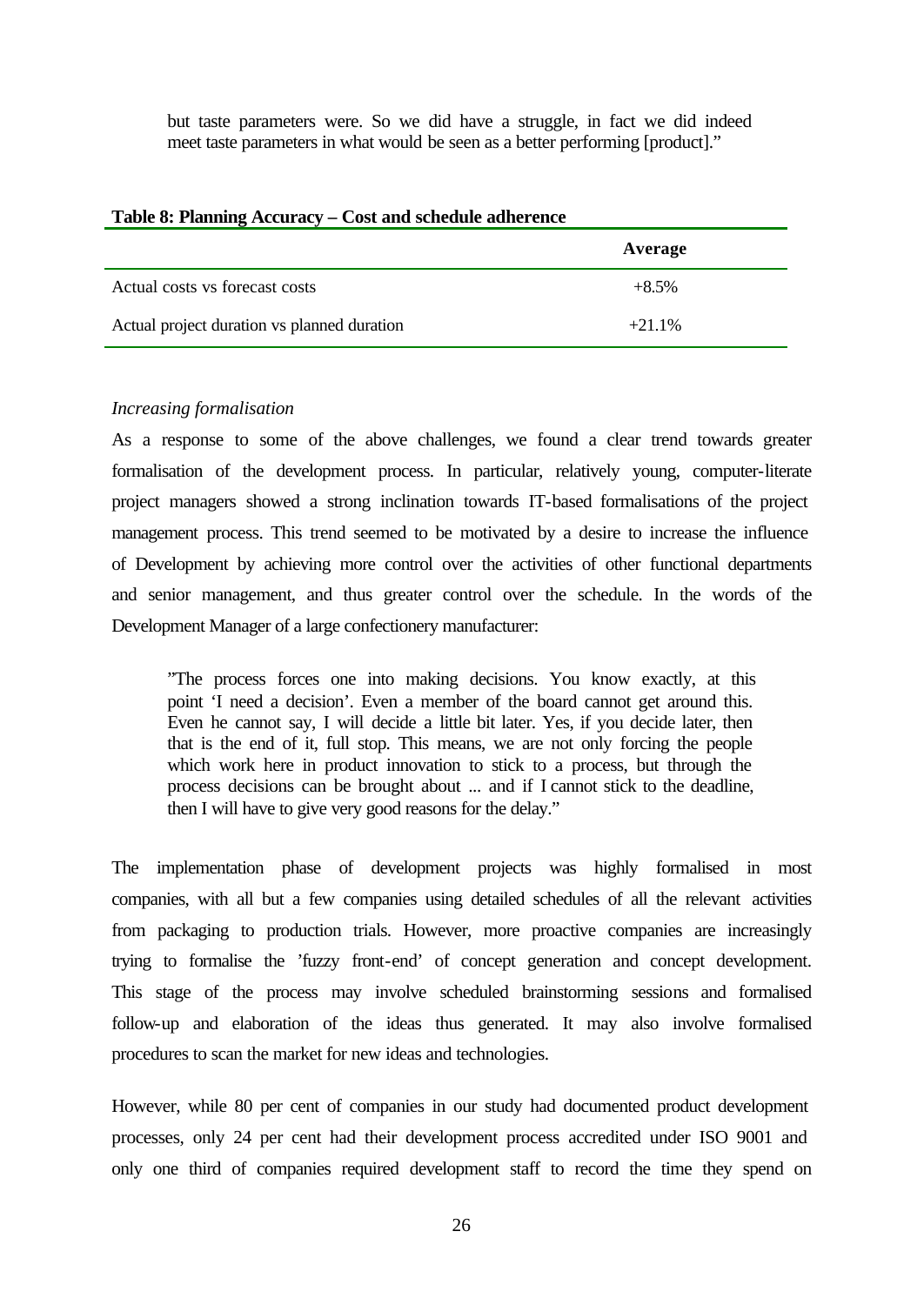but taste parameters were. So we did have a struggle, in fact we did indeed meet taste parameters in what would be seen as a better performing [product]."

| Table 8: Planning Accuracy – Cost and schedule adherence |           |  |  |
|----------------------------------------------------------|-----------|--|--|
|                                                          | Average   |  |  |
| Actual costs vs forecast costs                           | $+8.5%$   |  |  |
| Actual project duration vs planned duration              | $+21.1\%$ |  |  |

#### **Table 8: Planning Accuracy – Cost and schedule adherence**

#### *Increasing formalisation*

As a response to some of the above challenges, we found a clear trend towards greater formalisation of the development process. In particular, relatively young, computer-literate project managers showed a strong inclination towards IT-based formalisations of the project management process. This trend seemed to be motivated by a desire to increase the influence of Development by achieving more control over the activities of other functional departments and senior management, and thus greater control over the schedule. In the words of the Development Manager of a large confectionery manufacturer:

"The process forces one into making decisions. You know exactly, at this point 'I need a decision'. Even a member of the board cannot get around this. Even he cannot say, I will decide a little bit later. Yes, if you decide later, then that is the end of it, full stop. This means, we are not only forcing the people which work here in product innovation to stick to a process, but through the process decisions can be brought about ... and if I cannot stick to the deadline, then I will have to give very good reasons for the delay."

The implementation phase of development projects was highly formalised in most companies, with all but a few companies using detailed schedules of all the relevant activities from packaging to production trials. However, more proactive companies are increasingly trying to formalise the 'fuzzy front-end' of concept generation and concept development. This stage of the process may involve scheduled brainstorming sessions and formalised follow-up and elaboration of the ideas thus generated. It may also involve formalised procedures to scan the market for new ideas and technologies.

However, while 80 per cent of companies in our study had documented product development processes, only 24 per cent had their development process accredited under ISO 9001 and only one third of companies required development staff to record the time they spend on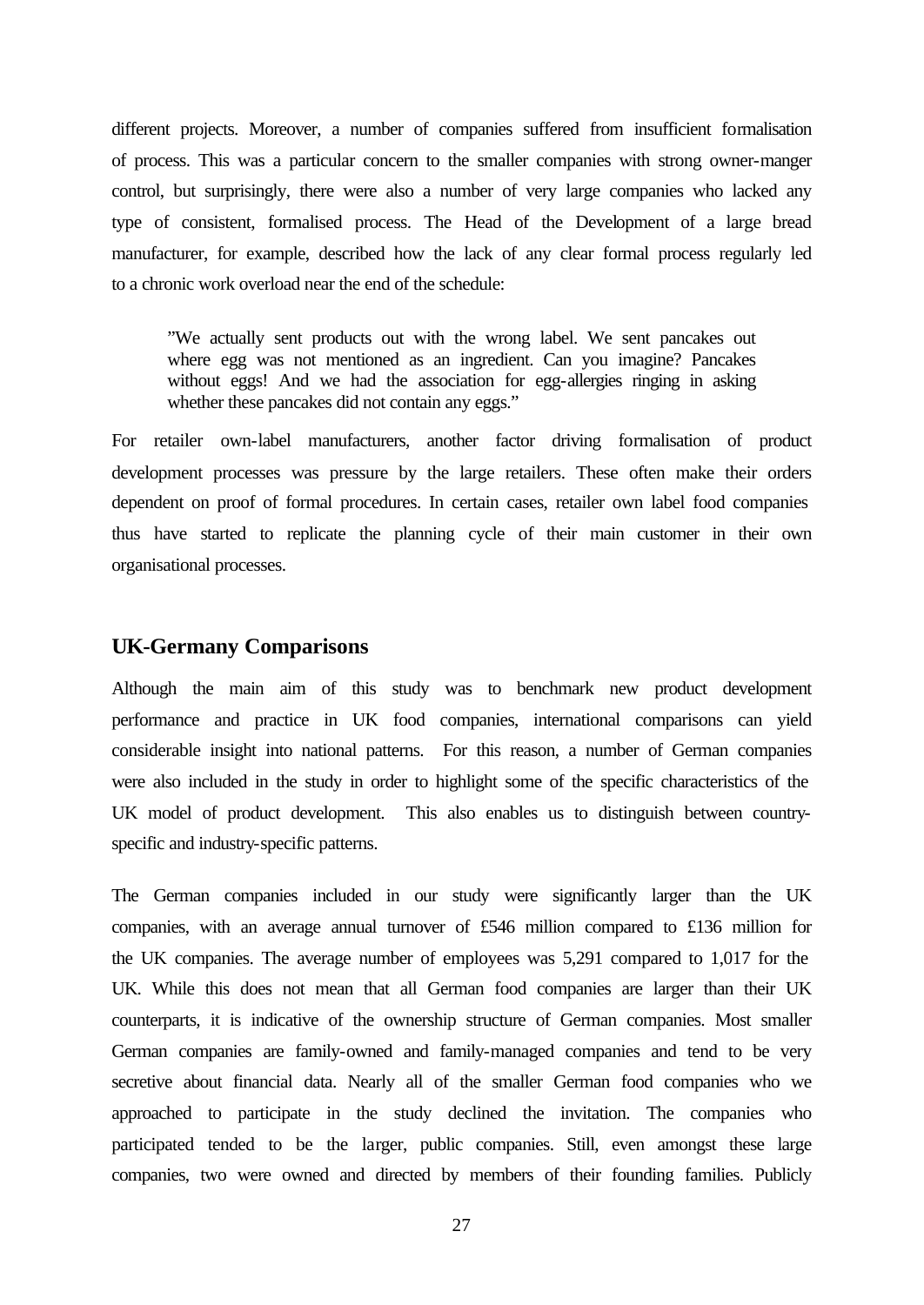different projects. Moreover, a number of companies suffered from insufficient formalisation of process. This was a particular concern to the smaller companies with strong owner-manger control, but surprisingly, there were also a number of very large companies who lacked any type of consistent, formalised process. The Head of the Development of a large bread manufacturer, for example, described how the lack of any clear formal process regularly led to a chronic work overload near the end of the schedule:

"We actually sent products out with the wrong label. We sent pancakes out where egg was not mentioned as an ingredient. Can you imagine? Pancakes without eggs! And we had the association for egg-allergies ringing in asking whether these pancakes did not contain any eggs."

For retailer own-label manufacturers, another factor driving formalisation of product development processes was pressure by the large retailers. These often make their orders dependent on proof of formal procedures. In certain cases, retailer own label food companies thus have started to replicate the planning cycle of their main customer in their own organisational processes.

## **UK-Germany Comparisons**

Although the main aim of this study was to benchmark new product development performance and practice in UK food companies, international comparisons can yield considerable insight into national patterns. For this reason, a number of German companies were also included in the study in order to highlight some of the specific characteristics of the UK model of product development. This also enables us to distinguish between countryspecific and industry-specific patterns.

The German companies included in our study were significantly larger than the UK companies, with an average annual turnover of £546 million compared to £136 million for the UK companies. The average number of employees was 5,291 compared to 1,017 for the UK. While this does not mean that all German food companies are larger than their UK counterparts, it is indicative of the ownership structure of German companies. Most smaller German companies are family-owned and family-managed companies and tend to be very secretive about financial data. Nearly all of the smaller German food companies who we approached to participate in the study declined the invitation. The companies who participated tended to be the larger, public companies. Still, even amongst these large companies, two were owned and directed by members of their founding families. Publicly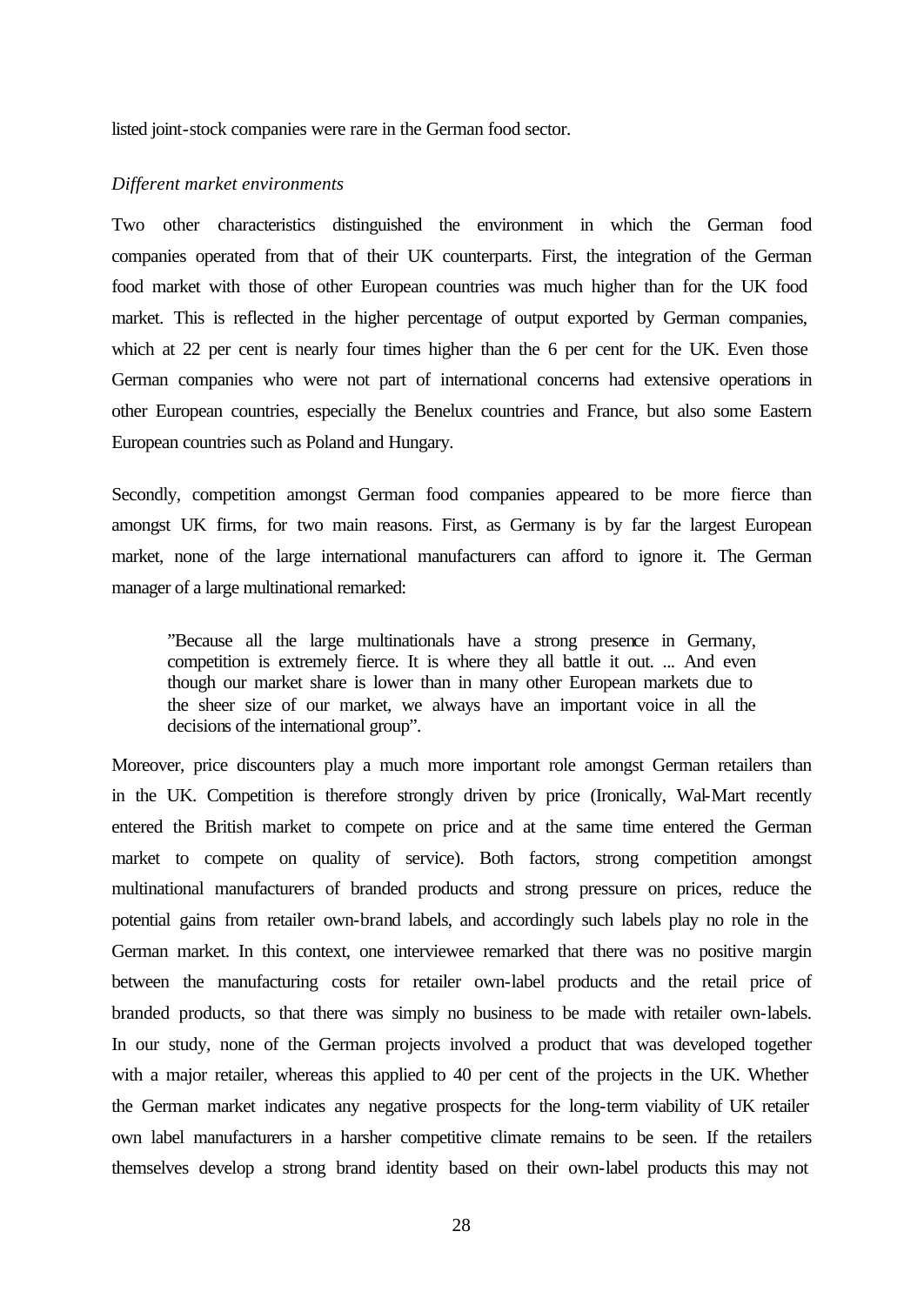listed joint-stock companies were rare in the German food sector.

#### *Different market environments*

Two other characteristics distinguished the environment in which the German food companies operated from that of their UK counterparts. First, the integration of the German food market with those of other European countries was much higher than for the UK food market. This is reflected in the higher percentage of output exported by German companies, which at 22 per cent is nearly four times higher than the 6 per cent for the UK. Even those German companies who were not part of international concerns had extensive operations in other European countries, especially the Benelux countries and France, but also some Eastern European countries such as Poland and Hungary.

Secondly, competition amongst German food companies appeared to be more fierce than amongst UK firms, for two main reasons. First, as Germany is by far the largest European market, none of the large international manufacturers can afford to ignore it. The German manager of a large multinational remarked:

"Because all the large multinationals have a strong presence in Germany, competition is extremely fierce. It is where they all battle it out. ... And even though our market share is lower than in many other European markets due to the sheer size of our market, we always have an important voice in all the decisions of the international group".

Moreover, price discounters play a much more important role amongst German retailers than in the UK. Competition is therefore strongly driven by price (Ironically, Wal-Mart recently entered the British market to compete on price and at the same time entered the German market to compete on quality of service). Both factors, strong competition amongst multinational manufacturers of branded products and strong pressure on prices, reduce the potential gains from retailer own-brand labels, and accordingly such labels play no role in the German market. In this context, one interviewee remarked that there was no positive margin between the manufacturing costs for retailer own-label products and the retail price of branded products, so that there was simply no business to be made with retailer own-labels. In our study, none of the German projects involved a product that was developed together with a major retailer, whereas this applied to 40 per cent of the projects in the UK. Whether the German market indicates any negative prospects for the long-term viability of UK retailer own label manufacturers in a harsher competitive climate remains to be seen. If the retailers themselves develop a strong brand identity based on their own-label products this may not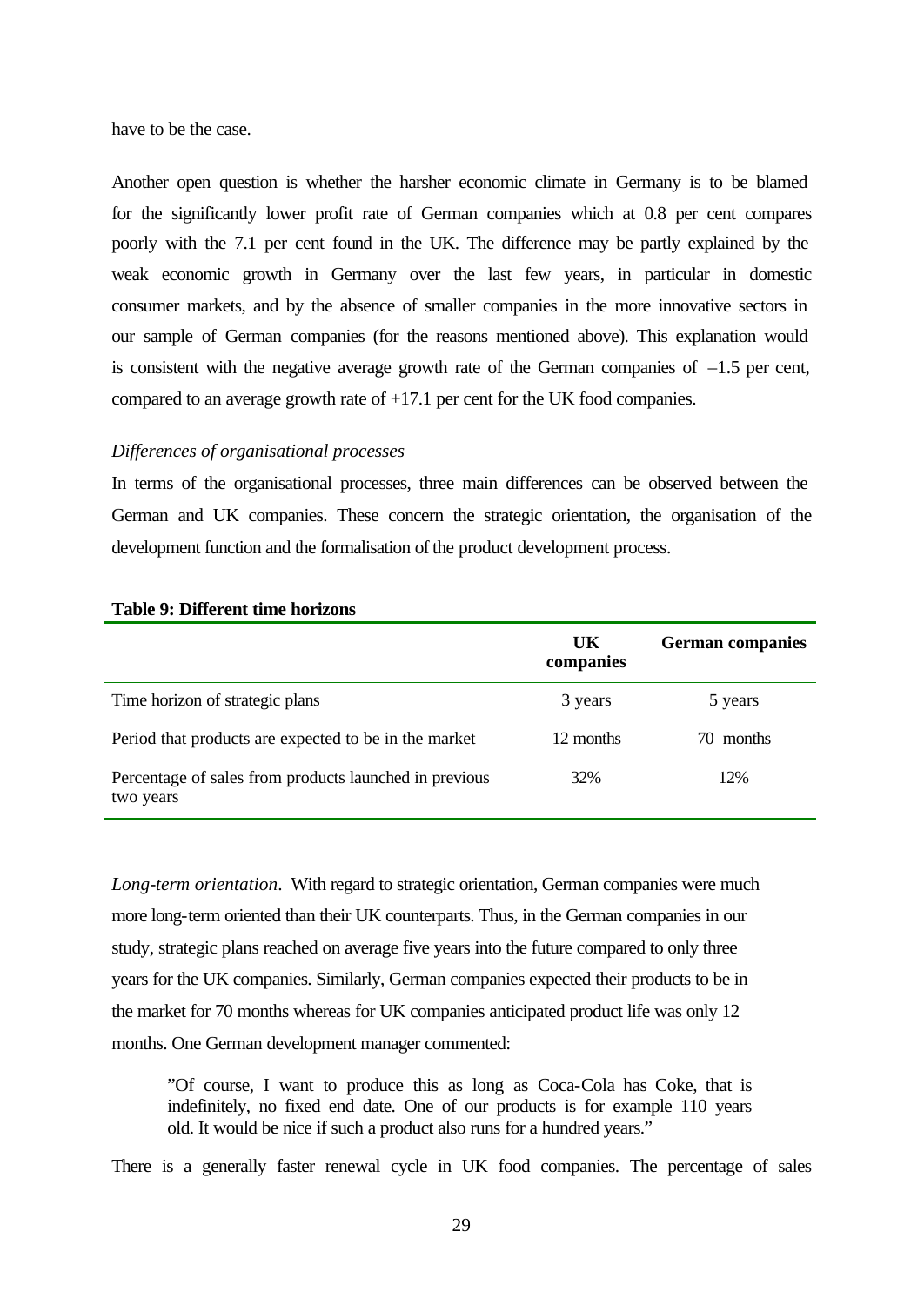have to be the case.

Another open question is whether the harsher economic climate in Germany is to be blamed for the significantly lower profit rate of German companies which at 0.8 per cent compares poorly with the 7.1 per cent found in the UK. The difference may be partly explained by the weak economic growth in Germany over the last few years, in particular in domestic consumer markets, and by the absence of smaller companies in the more innovative sectors in our sample of German companies (for the reasons mentioned above). This explanation would is consistent with the negative average growth rate of the German companies of  $-1.5$  per cent, compared to an average growth rate of +17.1 per cent for the UK food companies.

## *Differences of organisational processes*

In terms of the organisational processes, three main differences can be observed between the German and UK companies. These concern the strategic orientation, the organisation of the development function and the formalisation of the product development process.

|                                                                     | UK<br>companies | <b>German companies</b> |
|---------------------------------------------------------------------|-----------------|-------------------------|
| Time horizon of strategic plans                                     | 3 years         | 5 years                 |
| Period that products are expected to be in the market               | 12 months       | 70 months               |
| Percentage of sales from products launched in previous<br>two years | 32%             | 12%                     |

#### **Table 9: Different time horizons**

*Long-term orientation*. With regard to strategic orientation, German companies were much more long-term oriented than their UK counterparts. Thus, in the German companies in our study, strategic plans reached on average five years into the future compared to only three years for the UK companies. Similarly, German companies expected their products to be in the market for 70 months whereas for UK companies anticipated product life was only 12 months. One German development manager commented:

"Of course, I want to produce this as long as Coca-Cola has Coke, that is indefinitely, no fixed end date. One of our products is for example 110 years old. It would be nice if such a product also runs for a hundred years."

There is a generally faster renewal cycle in UK food companies. The percentage of sales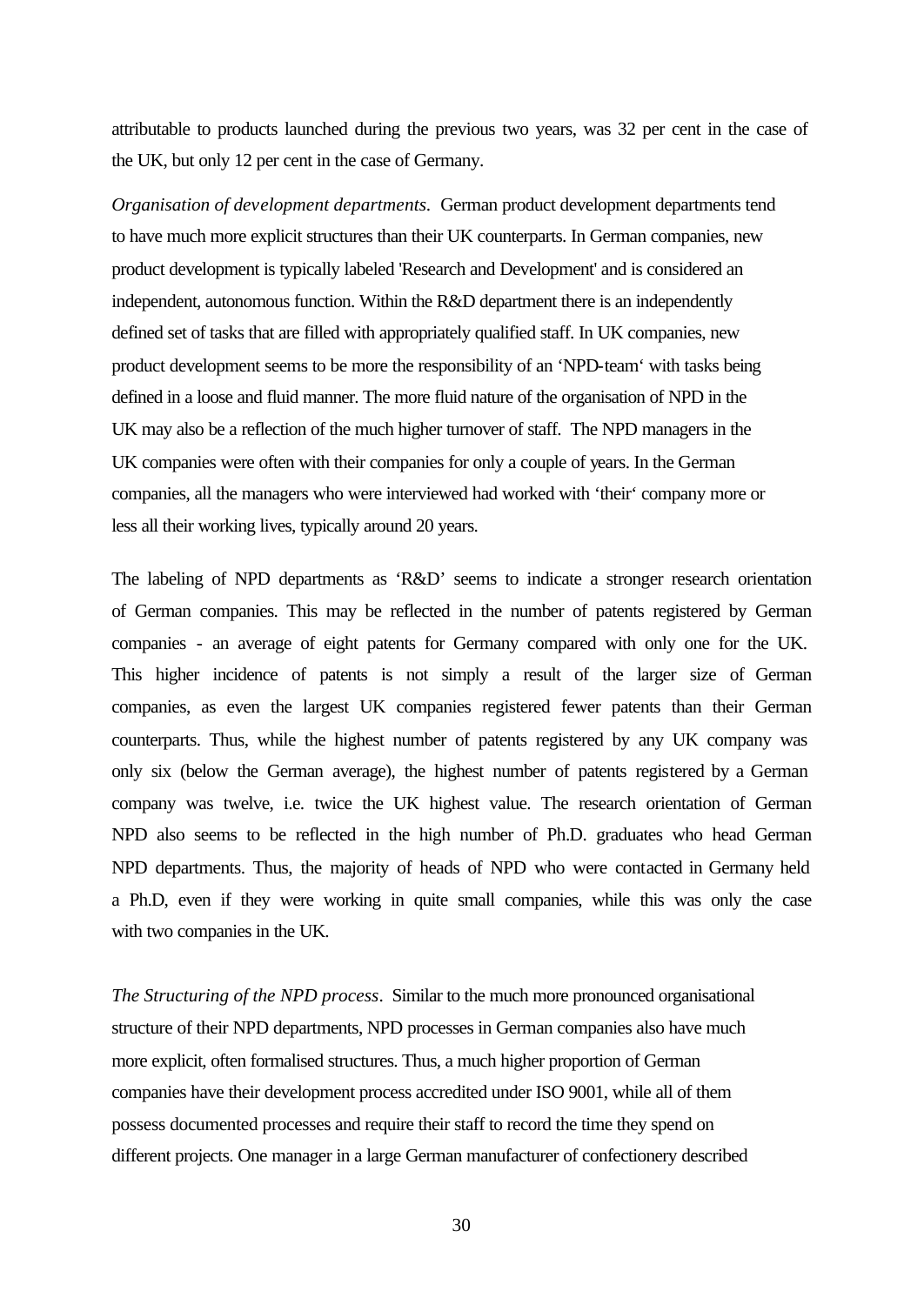attributable to products launched during the previous two years, was 32 per cent in the case of the UK, but only 12 per cent in the case of Germany.

*Organisation of development departments.* German product development departments tend to have much more explicit structures than their UK counterparts. In German companies, new product development is typically labeled 'Research and Development' and is considered an independent, autonomous function. Within the R&D department there is an independently defined set of tasks that are filled with appropriately qualified staff. In UK companies, new product development seems to be more the responsibility of an 'NPD-team' with tasks being defined in a loose and fluid manner. The more fluid nature of the organisation of NPD in the UK may also be a reflection of the much higher turnover of staff. The NPD managers in the UK companies were often with their companies for only a couple of years. In the German companies, all the managers who were interviewed had worked with 'their' company more or less all their working lives, typically around 20 years.

The labeling of NPD departments as 'R&D' seems to indicate a stronger research orientation of German companies. This may be reflected in the number of patents registered by German companies - an average of eight patents for Germany compared with only one for the UK. This higher incidence of patents is not simply a result of the larger size of German companies, as even the largest UK companies registered fewer patents than their German counterparts. Thus, while the highest number of patents registered by any UK company was only six (below the German average), the highest number of patents registered by a German company was twelve, i.e. twice the UK highest value. The research orientation of German NPD also seems to be reflected in the high number of Ph.D. graduates who head German NPD departments. Thus, the majority of heads of NPD who were contacted in Germany held a Ph.D, even if they were working in quite small companies, while this was only the case with two companies in the UK.

*The Structuring of the NPD process*. Similar to the much more pronounced organisational structure of their NPD departments, NPD processes in German companies also have much more explicit, often formalised structures. Thus, a much higher proportion of German companies have their development process accredited under ISO 9001, while all of them possess documented processes and require their staff to record the time they spend on different projects. One manager in a large German manufacturer of confectionery described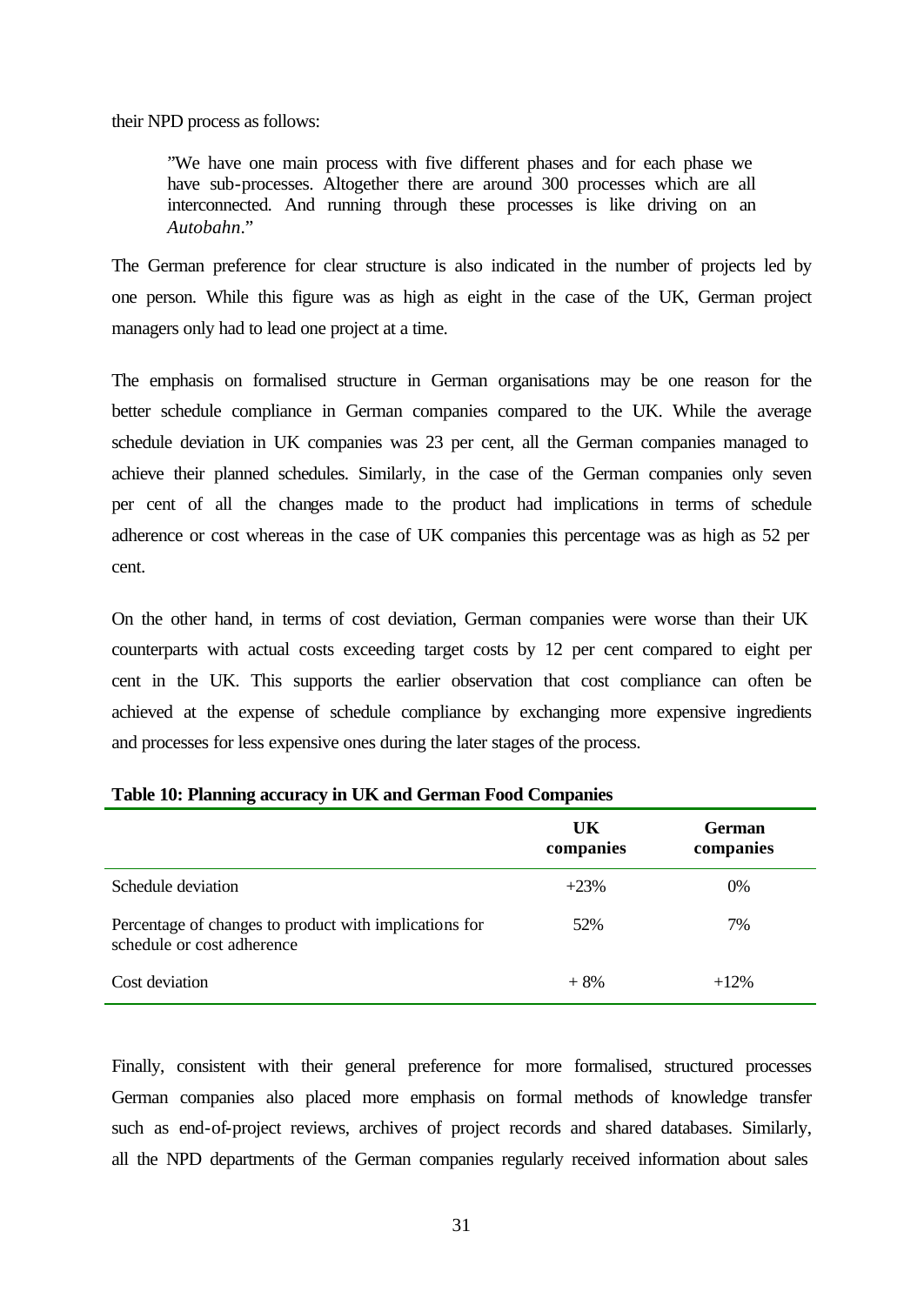their NPD process as follows:

"We have one main process with five different phases and for each phase we have sub-processes. Altogether there are around 300 processes which are all interconnected. And running through these processes is like driving on an *Autobahn*."

The German preference for clear structure is also indicated in the number of projects led by one person. While this figure was as high as eight in the case of the UK, German project managers only had to lead one project at a time.

The emphasis on formalised structure in German organisations may be one reason for the better schedule compliance in German companies compared to the UK. While the average schedule deviation in UK companies was 23 per cent, all the German companies managed to achieve their planned schedules. Similarly, in the case of the German companies only seven per cent of all the changes made to the product had implications in terms of schedule adherence or cost whereas in the case of UK companies this percentage was as high as 52 per cent.

On the other hand, in terms of cost deviation, German companies were worse than their UK counterparts with actual costs exceeding target costs by 12 per cent compared to eight per cent in the UK. This supports the earlier observation that cost compliance can often be achieved at the expense of schedule compliance by exchanging more expensive ingredients and processes for less expensive ones during the later stages of the process.

|                                                                                      | UK<br>companies | <b>German</b><br>companies |
|--------------------------------------------------------------------------------------|-----------------|----------------------------|
| Schedule deviation                                                                   | $+23%$          | $0\%$                      |
| Percentage of changes to product with implications for<br>schedule or cost adherence | 52%             | 7%                         |
| Cost deviation                                                                       | $+8%$           | $+12%$                     |

#### **Table 10: Planning accuracy in UK and German Food Companies**

Finally, consistent with their general preference for more formalised, structured processes German companies also placed more emphasis on formal methods of knowledge transfer such as end-of-project reviews, archives of project records and shared databases. Similarly, all the NPD departments of the German companies regularly received information about sales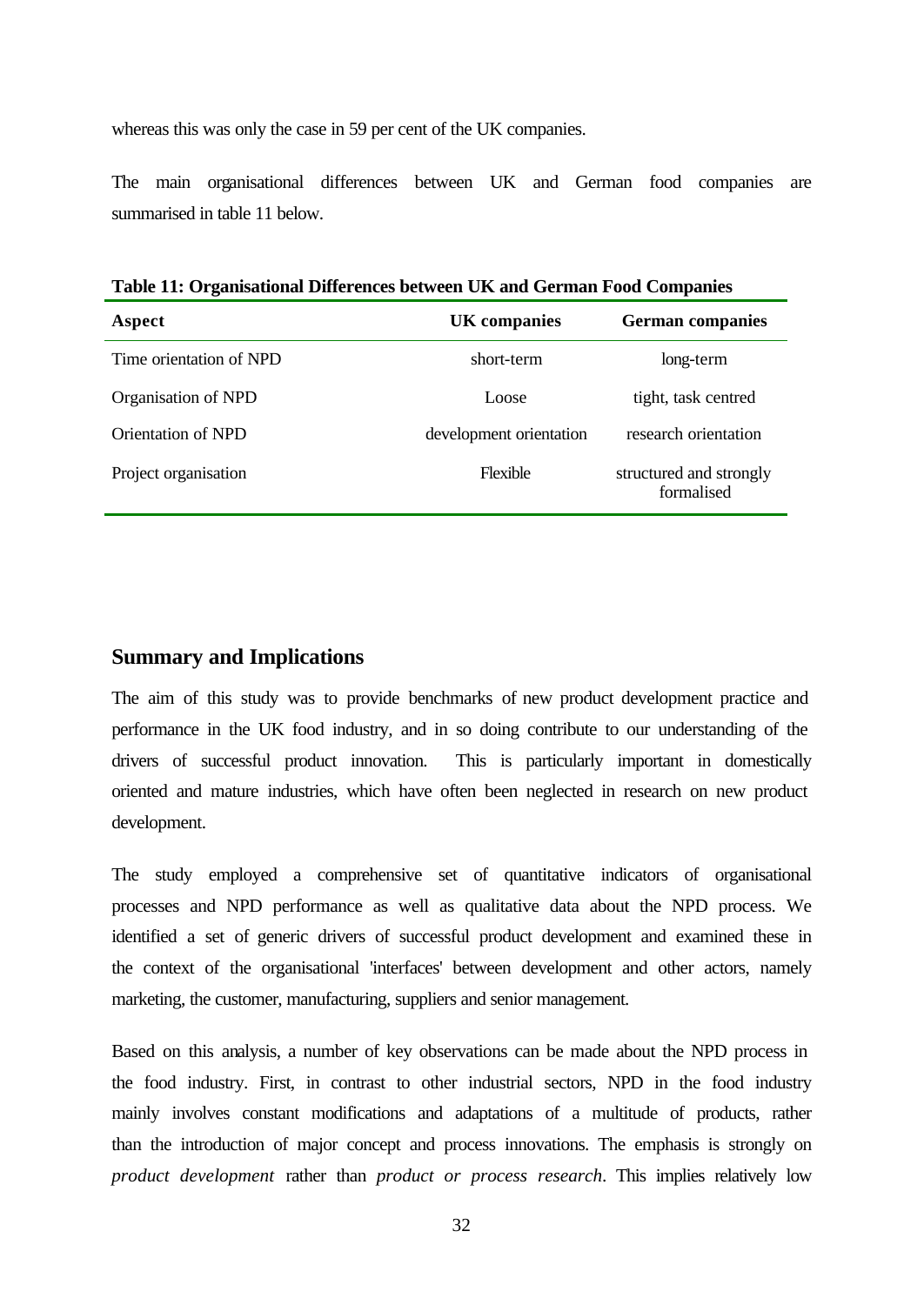whereas this was only the case in 59 per cent of the UK companies.

The main organisational differences between UK and German food companies are summarised in table 11 below.

**Table 11: Organisational Differences between UK and German Food Companies**

| Aspect                  | <b>UK</b> companies     | <b>German companies</b>               |
|-------------------------|-------------------------|---------------------------------------|
| Time orientation of NPD | short-term              | long-term                             |
| Organisation of NPD     | Loose                   | tight, task centred                   |
| Orientation of NPD      | development orientation | research orientation                  |
| Project organisation    | Flexible                | structured and strongly<br>formalised |

## **Summary and Implications**

The aim of this study was to provide benchmarks of new product development practice and performance in the UK food industry, and in so doing contribute to our understanding of the drivers of successful product innovation. This is particularly important in domestically oriented and mature industries, which have often been neglected in research on new product development.

The study employed a comprehensive set of quantitative indicators of organisational processes and NPD performance as well as qualitative data about the NPD process. We identified a set of generic drivers of successful product development and examined these in the context of the organisational 'interfaces' between development and other actors, namely marketing, the customer, manufacturing, suppliers and senior management.

Based on this analysis, a number of key observations can be made about the NPD process in the food industry. First, in contrast to other industrial sectors, NPD in the food industry mainly involves constant modifications and adaptations of a multitude of products, rather than the introduction of major concept and process innovations. The emphasis is strongly on *product development* rather than *product or process research*. This implies relatively low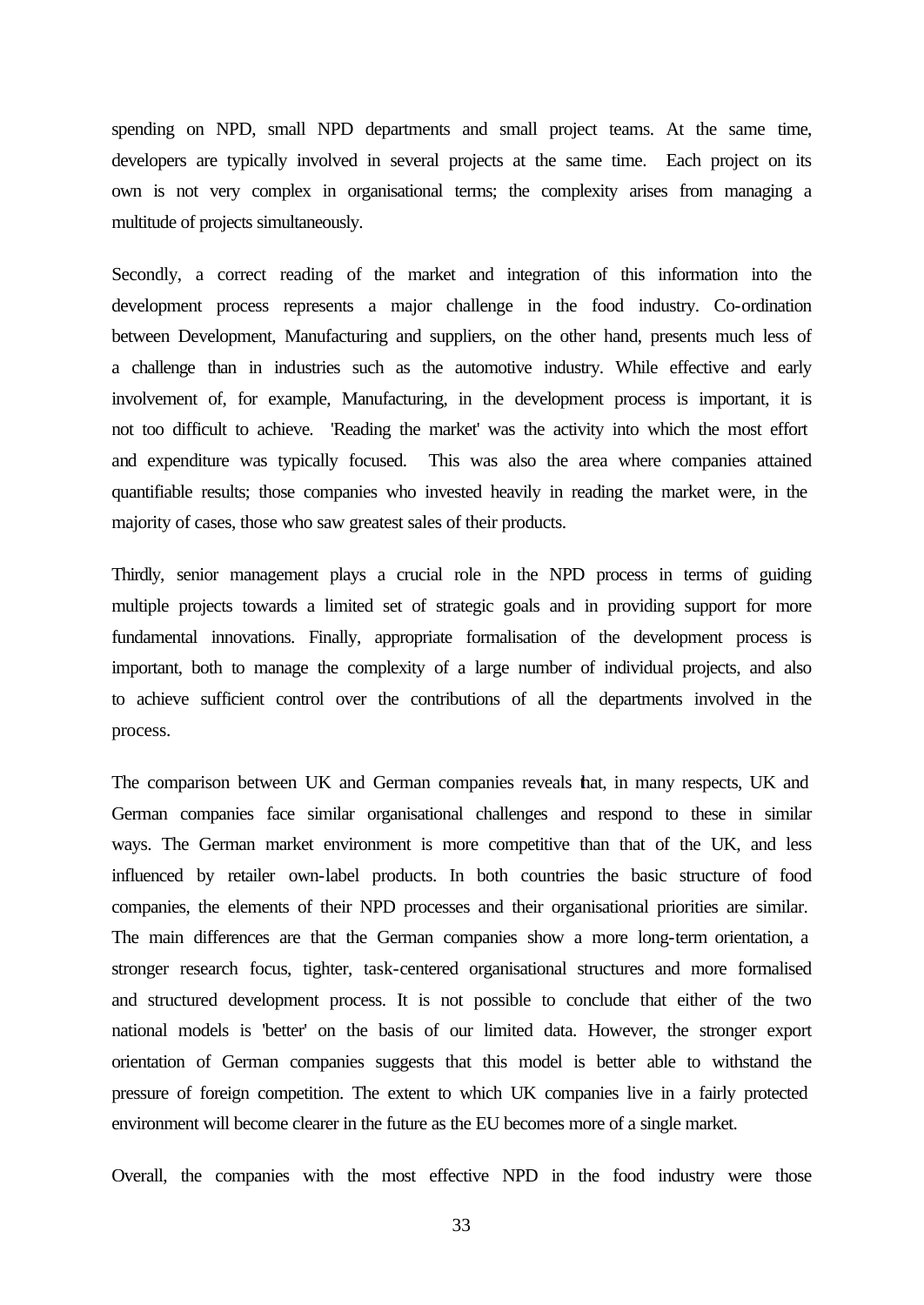spending on NPD, small NPD departments and small project teams. At the same time, developers are typically involved in several projects at the same time. Each project on its own is not very complex in organisational terms; the complexity arises from managing a multitude of projects simultaneously.

Secondly, a correct reading of the market and integration of this information into the development process represents a major challenge in the food industry. Co-ordination between Development, Manufacturing and suppliers, on the other hand, presents much less of a challenge than in industries such as the automotive industry. While effective and early involvement of, for example, Manufacturing, in the development process is important, it is not too difficult to achieve. 'Reading the market' was the activity into which the most effort and expenditure was typically focused. This was also the area where companies attained quantifiable results; those companies who invested heavily in reading the market were, in the majority of cases, those who saw greatest sales of their products.

Thirdly, senior management plays a crucial role in the NPD process in terms of guiding multiple projects towards a limited set of strategic goals and in providing support for more fundamental innovations. Finally, appropriate formalisation of the development process is important, both to manage the complexity of a large number of individual projects, and also to achieve sufficient control over the contributions of all the departments involved in the process.

The comparison between UK and German companies reveals that, in many respects, UK and German companies face similar organisational challenges and respond to these in similar ways. The German market environment is more competitive than that of the UK, and less influenced by retailer own-label products. In both countries the basic structure of food companies, the elements of their NPD processes and their organisational priorities are similar. The main differences are that the German companies show a more long-term orientation, a stronger research focus, tighter, task-centered organisational structures and more formalised and structured development process. It is not possible to conclude that either of the two national models is 'better' on the basis of our limited data. However, the stronger export orientation of German companies suggests that this model is better able to withstand the pressure of foreign competition. The extent to which UK companies live in a fairly protected environment will become clearer in the future as the EU becomes more of a single market.

Overall, the companies with the most effective NPD in the food industry were those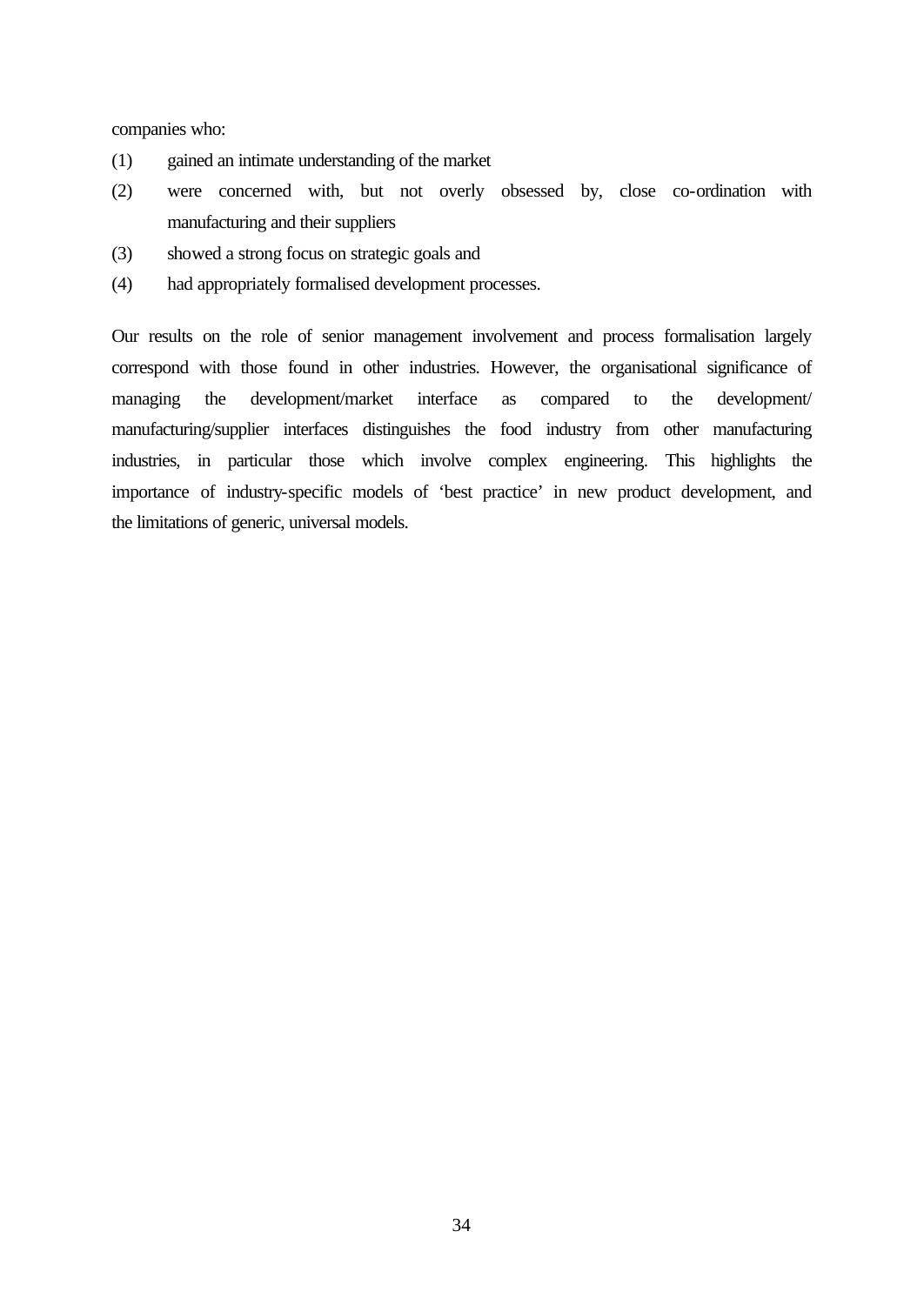companies who:

- (1) gained an intimate understanding of the market
- (2) were concerned with, but not overly obsessed by, close co-ordination with manufacturing and their suppliers
- (3) showed a strong focus on strategic goals and
- (4) had appropriately formalised development processes.

Our results on the role of senior management involvement and process formalisation largely correspond with those found in other industries. However, the organisational significance of managing the development/market interface as compared to the development/ manufacturing/supplier interfaces distinguishes the food industry from other manufacturing industries, in particular those which involve complex engineering. This highlights the importance of industry-specific models of 'best practice' in new product development, and the limitations of generic, universal models.